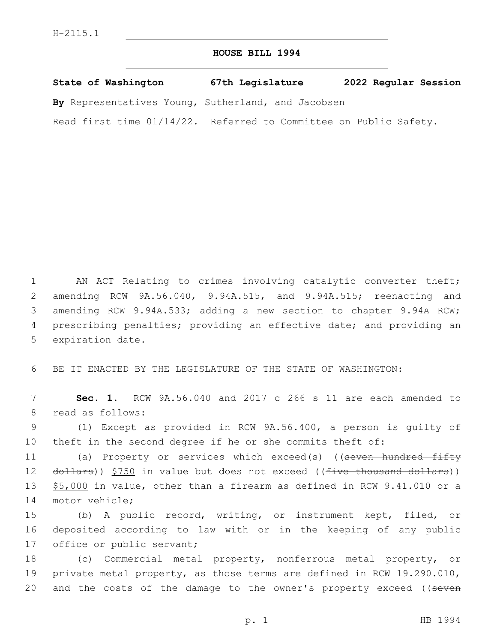## **HOUSE BILL 1994**

**State of Washington 67th Legislature 2022 Regular Session**

**By** Representatives Young, Sutherland, and Jacobsen

Read first time 01/14/22. Referred to Committee on Public Safety.

1 AN ACT Relating to crimes involving catalytic converter theft; 2 amending RCW 9A.56.040, 9.94A.515, and 9.94A.515; reenacting and 3 amending RCW 9.94A.533; adding a new section to chapter 9.94A RCW; 4 prescribing penalties; providing an effective date; and providing an 5 expiration date.

6 BE IT ENACTED BY THE LEGISLATURE OF THE STATE OF WASHINGTON:

7 **Sec. 1.** RCW 9A.56.040 and 2017 c 266 s 11 are each amended to 8 read as follows:

9 (1) Except as provided in RCW 9A.56.400, a person is guilty of 10 theft in the second degree if he or she commits theft of:

11 (a) Property or services which exceed(s) ((<del>seven hundred fifty</del> 12 dollars)) \$750 in value but does not exceed ((five thousand dollars)) 13 \$5,000 in value, other than a firearm as defined in RCW 9.41.010 or a 14 motor vehicle;

15 (b) A public record, writing, or instrument kept, filed, or 16 deposited according to law with or in the keeping of any public 17 office or public servant;

18 (c) Commercial metal property, nonferrous metal property, or 19 private metal property, as those terms are defined in RCW 19.290.010, 20 and the costs of the damage to the owner's property exceed ((seven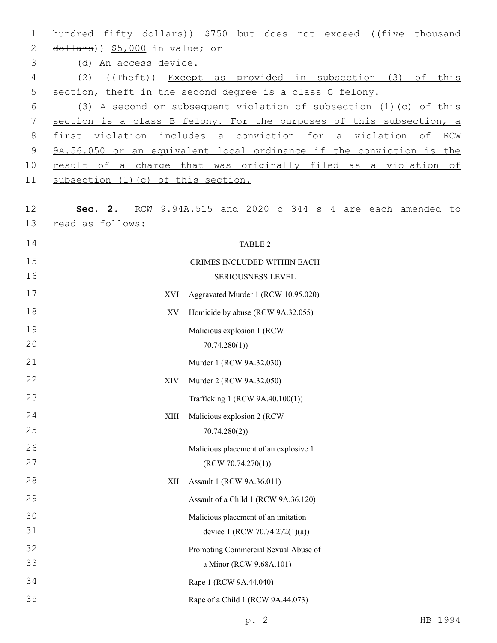| 1        | hundred fifty dollars)) \$750 but does not exceed ((five thousand                |  |  |  |  |
|----------|----------------------------------------------------------------------------------|--|--|--|--|
| 2        | $d$ ollars)) $$5,000$ in value; or                                               |  |  |  |  |
| 3        | (d) An access device.                                                            |  |  |  |  |
| 4        | ((Theft)) Except as provided in subsection (3) of this<br>(2)                    |  |  |  |  |
| 5        | section, theft in the second degree is a class C felony.                         |  |  |  |  |
| 6        | (3) A second or subsequent violation of subsection (1) (c) of this               |  |  |  |  |
| 7        | section is a class B felony. For the purposes of this subsection, a              |  |  |  |  |
| 8        | first violation includes a conviction for a violation of RCM                     |  |  |  |  |
| 9        | 9A.56.050 or an equivalent local ordinance if the conviction is the              |  |  |  |  |
| 10       | result of a charge that was originally filed as a violation of                   |  |  |  |  |
| 11       | subsection (1) (c) of this section.                                              |  |  |  |  |
| 12<br>13 | Sec. 2. RCW 9.94A.515 and 2020 c 344 s 4 are each amended to<br>read as follows: |  |  |  |  |
| 14       | TABLE 2                                                                          |  |  |  |  |
| 15       | CRIMES INCLUDED WITHIN EACH                                                      |  |  |  |  |
| 16       | SERIOUSNESS LEVEL                                                                |  |  |  |  |
| 17       | Aggravated Murder 1 (RCW 10.95.020)<br>XVI                                       |  |  |  |  |
| 18       | Homicide by abuse (RCW 9A.32.055)<br>XV                                          |  |  |  |  |
| 19       | Malicious explosion 1 (RCW                                                       |  |  |  |  |
| 20       | 70.74.280(1)                                                                     |  |  |  |  |
| 21       | Murder 1 (RCW 9A.32.030)                                                         |  |  |  |  |
| 22       | Murder 2 (RCW 9A.32.050)<br>XIV                                                  |  |  |  |  |
| 23       | Trafficking 1 (RCW 9A.40.100(1))                                                 |  |  |  |  |
| 24       | Malicious explosion 2 (RCW<br>XIII                                               |  |  |  |  |
| 25       | 70.74.280(2)                                                                     |  |  |  |  |
| 26       | Malicious placement of an explosive 1                                            |  |  |  |  |
| 27       | (RCW 70.74.270(1))                                                               |  |  |  |  |
| 28       | Assault 1 (RCW 9A.36.011)<br>XII                                                 |  |  |  |  |
| 29       | Assault of a Child 1 (RCW 9A.36.120)                                             |  |  |  |  |
| 30       | Malicious placement of an imitation                                              |  |  |  |  |
| 31       | device 1 (RCW 70.74.272(1)(a))                                                   |  |  |  |  |
| 32       | Promoting Commercial Sexual Abuse of                                             |  |  |  |  |
| 33       | a Minor (RCW 9.68A.101)                                                          |  |  |  |  |
| 34       | Rape 1 (RCW 9A.44.040)                                                           |  |  |  |  |
| 35       | Rape of a Child 1 (RCW 9A.44.073)                                                |  |  |  |  |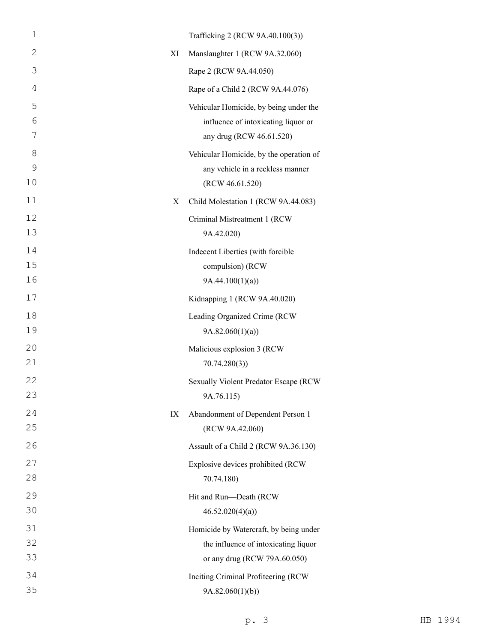| $\mathbf 1$   |    | Trafficking 2 (RCW 9A.40.100(3))        |
|---------------|----|-----------------------------------------|
| 2             | XI | Manslaughter 1 (RCW 9A.32.060)          |
| 3             |    | Rape 2 (RCW 9A.44.050)                  |
| 4             |    | Rape of a Child 2 (RCW 9A.44.076)       |
| 5             |    | Vehicular Homicide, by being under the  |
| 6             |    | influence of intoxicating liquor or     |
| 7             |    | any drug (RCW 46.61.520)                |
| 8             |    | Vehicular Homicide, by the operation of |
| $\mathcal{G}$ |    | any vehicle in a reckless manner        |
| 10            |    | (RCW 46.61.520)                         |
| 11            | X  | Child Molestation 1 (RCW 9A.44.083)     |
| 12            |    | Criminal Mistreatment 1 (RCW            |
| 13            |    | 9A.42.020)                              |
| 14            |    | Indecent Liberties (with forcible       |
| 15            |    | compulsion) (RCW                        |
| 16            |    | 9A.44.100(1)(a)                         |
| 17            |    | Kidnapping 1 (RCW 9A.40.020)            |
| 18            |    | Leading Organized Crime (RCW            |
| 19            |    | 9A.82.060(1)(a)                         |
| 20            |    | Malicious explosion 3 (RCW              |
| 21            |    | 70.74.280(3)                            |
| 22            |    | Sexually Violent Predator Escape (RCW   |
| 23            |    | 9A.76.115)                              |
| 24            | IX | Abandonment of Dependent Person 1       |
| 25            |    | (RCW 9A.42.060)                         |
| 26            |    | Assault of a Child 2 (RCW 9A.36.130)    |
| 27            |    | Explosive devices prohibited (RCW       |
| 28            |    | 70.74.180)                              |
| 29            |    | Hit and Run-Death (RCW                  |
| 30            |    | 46.52.020(4)(a)                         |
| 31            |    | Homicide by Watercraft, by being under  |
| 32            |    | the influence of intoxicating liquor    |
| 33            |    | or any drug (RCW 79A.60.050)            |
| 34            |    | Inciting Criminal Profiteering (RCW     |
| 35            |    | 9A.82.060(1)(b)                         |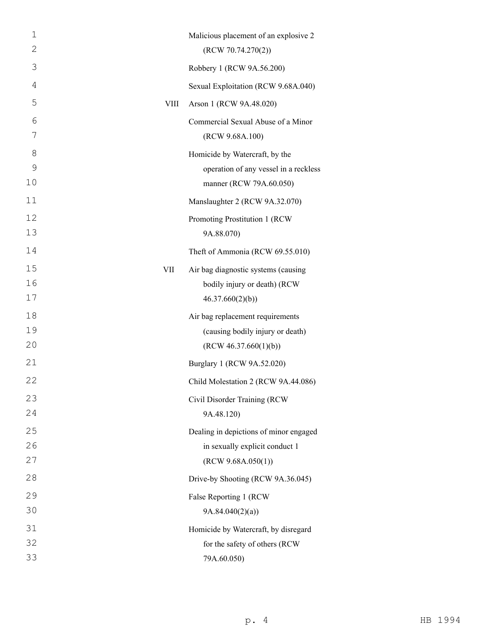| $\mathbf 1$    |             | Malicious placement of an explosive 2                 |
|----------------|-------------|-------------------------------------------------------|
| 2              |             | (RCW 70.74.270(2))                                    |
| 3              |             | Robbery 1 (RCW 9A.56.200)                             |
| $\overline{4}$ |             | Sexual Exploitation (RCW 9.68A.040)                   |
| 5              | <b>VIII</b> | Arson 1 (RCW 9A.48.020)                               |
| 6<br>7         |             | Commercial Sexual Abuse of a Minor<br>(RCW 9.68A.100) |
| 8              |             | Homicide by Watercraft, by the                        |
| 9              |             | operation of any vessel in a reckless                 |
| 10             |             | manner (RCW 79A.60.050)                               |
| 11             |             | Manslaughter 2 (RCW 9A.32.070)                        |
| 12<br>13       |             | Promoting Prostitution 1 (RCW<br>9A.88.070)           |
| 14             |             | Theft of Ammonia (RCW 69.55.010)                      |
| 15             | VII         | Air bag diagnostic systems (causing                   |
| 16<br>17       |             | bodily injury or death) (RCW<br>46.37.660(2)(b)       |
| 18             |             | Air bag replacement requirements                      |
| 19             |             | (causing bodily injury or death)                      |
| 20             |             | (RCW 46.37.660(1)(b))                                 |
| 21             |             | Burglary 1 (RCW 9A.52.020)                            |
| 22             |             | Child Molestation 2 (RCW 9A.44.086)                   |
| 23             |             | Civil Disorder Training (RCW                          |
| 24             |             | 9A.48.120)                                            |
| 25             |             | Dealing in depictions of minor engaged                |
| 26             |             | in sexually explicit conduct 1                        |
| 27             |             | (RCW 9.68A.050(1))                                    |
| 28             |             | Drive-by Shooting (RCW 9A.36.045)                     |
| 29             |             | False Reporting 1 (RCW                                |
| 30             |             | 9A.84.040(2)(a)                                       |
| 31             |             | Homicide by Watercraft, by disregard                  |
| 32             |             | for the safety of others (RCW                         |
| 33             |             | 79A.60.050)                                           |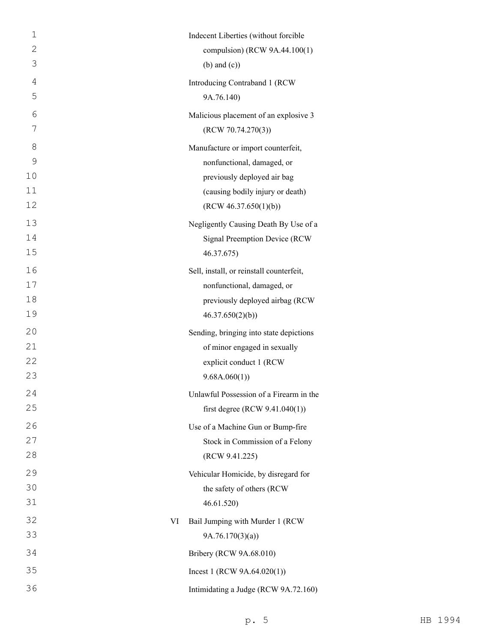| $\mathbf{1}$   |    | Indecent Liberties (without forcible     |
|----------------|----|------------------------------------------|
| $\overline{2}$ |    | compulsion) (RCW 9A.44.100(1)            |
| 3              |    | $(b)$ and $(c)$ )                        |
| 4              |    | Introducing Contraband 1 (RCW            |
| 5              |    | 9A.76.140)                               |
| 6              |    | Malicious placement of an explosive 3    |
| 7              |    | (RCW 70.74.270(3))                       |
| 8              |    | Manufacture or import counterfeit,       |
| 9              |    | nonfunctional, damaged, or               |
| 10             |    | previously deployed air bag              |
| 11             |    | (causing bodily injury or death)         |
| 12             |    | (RCW 46.37.650(1)(b))                    |
| 13             |    | Negligently Causing Death By Use of a    |
| 14             |    | Signal Preemption Device (RCW            |
| 15             |    | 46.37.675)                               |
| 16             |    | Sell, install, or reinstall counterfeit, |
| 17             |    | nonfunctional, damaged, or               |
| 18             |    | previously deployed airbag (RCW          |
| 19             |    | 46.37.650(2)(b)                          |
| 20             |    | Sending, bringing into state depictions  |
| 21             |    | of minor engaged in sexually             |
| 22             |    | explicit conduct 1 (RCW                  |
| 23             |    | 9.68A.060(1)                             |
| 24             |    | Unlawful Possession of a Firearm in the  |
| 25             |    | first degree (RCW $9.41.040(1)$ )        |
| 26             |    | Use of a Machine Gun or Bump-fire        |
| 27             |    | Stock in Commission of a Felony          |
| 28             |    | (RCW 9.41.225)                           |
| 29             |    | Vehicular Homicide, by disregard for     |
| 30             |    | the safety of others (RCW                |
| 31             |    | 46.61.520)                               |
| 32             | VI | Bail Jumping with Murder 1 (RCW          |
| 33             |    | 9A.76.170(3)(a)                          |
| 34             |    | Bribery (RCW 9A.68.010)                  |
| 35             |    | Incest 1 (RCW $9A.64.020(1)$ )           |
| 36             |    | Intimidating a Judge (RCW 9A.72.160)     |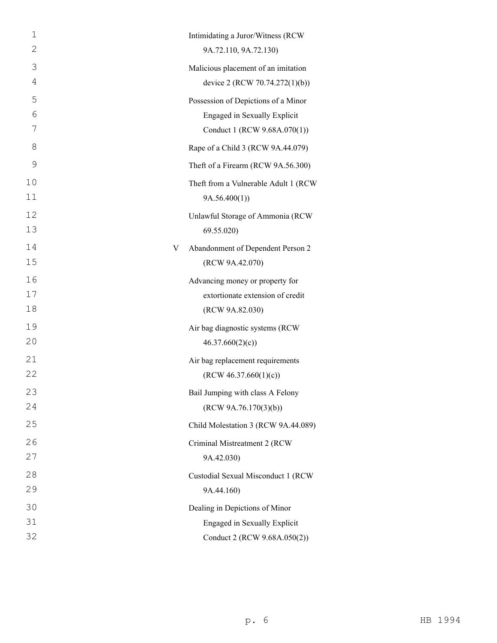| 1<br>2  | Intimidating a Juror/Witness (RCW<br>9A.72.110, 9A.72.130)            |
|---------|-----------------------------------------------------------------------|
| 3       |                                                                       |
| 4       | Malicious placement of an imitation<br>device 2 (RCW 70.74.272(1)(b)) |
| 5       |                                                                       |
| 6       | Possession of Depictions of a Minor<br>Engaged in Sexually Explicit   |
| 7       | Conduct 1 (RCW 9.68A.070(1))                                          |
| 8       | Rape of a Child 3 (RCW 9A.44.079)                                     |
| 9       | Theft of a Firearm (RCW 9A.56.300)                                    |
| 10      | Theft from a Vulnerable Adult 1 (RCW                                  |
| 11      | 9A.56.400(1)                                                          |
| 12      | Unlawful Storage of Ammonia (RCW                                      |
| 13      | 69.55.020                                                             |
| 14<br>V | Abandonment of Dependent Person 2                                     |
| 15      | (RCW 9A.42.070)                                                       |
| 16      | Advancing money or property for                                       |
| 17      | extortionate extension of credit                                      |
| 18      | (RCW 9A.82.030)                                                       |
| 19      | Air bag diagnostic systems (RCW                                       |
| 20      | 46.37.660(2)(c)                                                       |
| 21      | Air bag replacement requirements                                      |
| 22      | (RCW 46.37.660(1)(c))                                                 |
| 23      | Bail Jumping with class A Felony                                      |
| 24      | (RCW 9A.76.170(3)(b))                                                 |
| 25      | Child Molestation 3 (RCW 9A.44.089)                                   |
| 26      | Criminal Mistreatment 2 (RCW                                          |
| 27      | 9A.42.030)                                                            |
| 28      | Custodial Sexual Misconduct 1 (RCW                                    |
| 29      | 9A.44.160)                                                            |
| 30      | Dealing in Depictions of Minor                                        |
| 31      | Engaged in Sexually Explicit                                          |
| 32      | Conduct 2 (RCW 9.68A.050(2))                                          |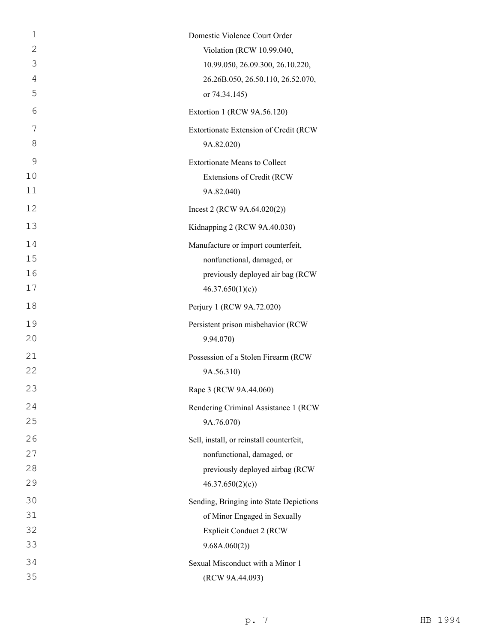| $\mathbf{1}$ | Domestic Violence Court Order            |
|--------------|------------------------------------------|
| 2            | Violation (RCW 10.99.040,                |
| 3            | 10.99.050, 26.09.300, 26.10.220,         |
| 4            | 26.26B.050, 26.50.110, 26.52.070,        |
| 5            | or 74.34.145)                            |
| 6            | Extortion 1 (RCW 9A.56.120)              |
| 7            | Extortionate Extension of Credit (RCW    |
| 8            | 9A.82.020)                               |
| 9            | <b>Extortionate Means to Collect</b>     |
| 10           | Extensions of Credit (RCW                |
| 11           | 9A.82.040)                               |
| 12           | Incest 2 (RCW $9A.64.020(2)$ )           |
| 13           | Kidnapping 2 (RCW 9A.40.030)             |
| 14           | Manufacture or import counterfeit,       |
| 15           | nonfunctional, damaged, or               |
| 16           | previously deployed air bag (RCW         |
| 17           | 46.37.650(1)(c)                          |
| 18           | Perjury 1 (RCW 9A.72.020)                |
| 19           | Persistent prison misbehavior (RCW       |
| 20           | 9.94.070)                                |
| 21           | Possession of a Stolen Firearm (RCW      |
| 22           | 9A.56.310)                               |
| 23           | Rape 3 (RCW 9A.44.060)                   |
| 24           | Rendering Criminal Assistance 1 (RCW     |
| 25           | 9A.76.070)                               |
| 26           | Sell, install, or reinstall counterfeit, |
| 27           | nonfunctional, damaged, or               |
| 28           | previously deployed airbag (RCW          |
| 29           | 46.37.650(2)(c)                          |
| 30           | Sending, Bringing into State Depictions  |
| 31           | of Minor Engaged in Sexually             |
| 32           | <b>Explicit Conduct 2 (RCW</b>           |
| 33           | 9.68A.060(2))                            |
| 34           | Sexual Misconduct with a Minor 1         |
| 35           | (RCW 9A.44.093)                          |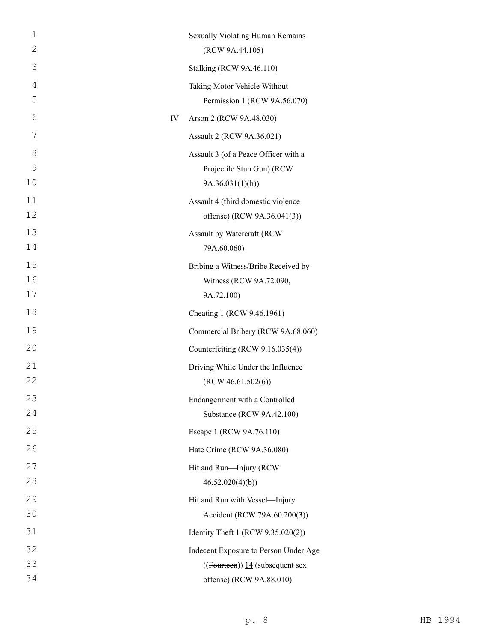| 1  | Sexually Violating Human Remains         |
|----|------------------------------------------|
| 2  | (RCW 9A.44.105)                          |
| 3  | <b>Stalking (RCW 9A.46.110)</b>          |
| 4  | Taking Motor Vehicle Without             |
| 5  | Permission 1 (RCW 9A.56.070)             |
| 6  | IV<br>Arson 2 (RCW 9A.48.030)            |
| 7  | Assault 2 (RCW 9A.36.021)                |
| 8  | Assault 3 (of a Peace Officer with a     |
| 9  | Projectile Stun Gun) (RCW                |
| 10 | 9A.36.031(1)(h)                          |
| 11 | Assault 4 (third domestic violence       |
| 12 | offense) (RCW 9A.36.041(3))              |
| 13 | Assault by Watercraft (RCW               |
| 14 | 79A.60.060)                              |
| 15 | Bribing a Witness/Bribe Received by      |
| 16 | Witness (RCW 9A.72.090,                  |
| 17 | 9A.72.100)                               |
| 18 | Cheating 1 (RCW 9.46.1961)               |
| 19 | Commercial Bribery (RCW 9A.68.060)       |
| 20 | Counterfeiting (RCW 9.16.035(4))         |
| 21 | Driving While Under the Influence        |
| 22 | (RCW 46.61.502(6))                       |
| 23 | Endangerment with a Controlled           |
| 24 | Substance (RCW 9A.42.100)                |
| 25 | Escape 1 (RCW 9A.76.110)                 |
| 26 | Hate Crime (RCW 9A.36.080)               |
| 27 | Hit and Run-Injury (RCW                  |
| 28 | 46.52.020(4)(b)                          |
| 29 | Hit and Run with Vessel-Injury           |
| 30 | Accident (RCW 79A.60.200(3))             |
| 31 | Identity Theft 1 (RCW 9.35.020(2))       |
| 32 | Indecent Exposure to Person Under Age    |
| 33 | $((\text{Fourteen}))$ 14 (subsequent sex |
| 34 | offense) (RCW 9A.88.010)                 |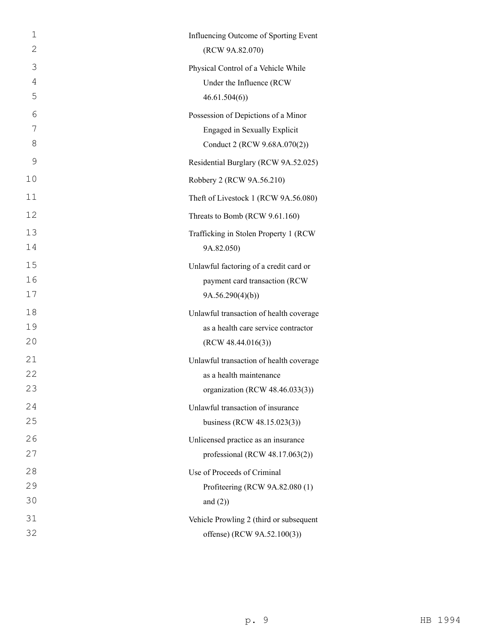| $\mathbf 1$ | Influencing Outcome of Sporting Event   |
|-------------|-----------------------------------------|
| 2           | (RCW 9A.82.070)                         |
| 3           | Physical Control of a Vehicle While     |
| 4           | Under the Influence (RCW                |
| 5           | 46.61.504(6)                            |
| 6           | Possession of Depictions of a Minor     |
| 7           | Engaged in Sexually Explicit            |
| 8           | Conduct 2 (RCW 9.68A.070(2))            |
| 9           | Residential Burglary (RCW 9A.52.025)    |
| 10          | Robbery 2 (RCW 9A.56.210)               |
| 11          | Theft of Livestock 1 (RCW 9A.56.080)    |
| 12          | Threats to Bomb (RCW 9.61.160)          |
| 13          | Trafficking in Stolen Property 1 (RCW   |
| 14          | 9A.82.050)                              |
| 15          | Unlawful factoring of a credit card or  |
| 16          | payment card transaction (RCW           |
| 17          | 9A.56.290(4)(b)                         |
| 18          | Unlawful transaction of health coverage |
| 19          | as a health care service contractor     |
| 20          | (RCW 48.44.016(3))                      |
| 21          | Unlawful transaction of health coverage |
| 22          | as a health maintenance                 |
| 23          | organization (RCW 48.46.033(3))         |
| 24          | Unlawful transaction of insurance       |
| 25          | business (RCW 48.15.023(3))             |
| 26          | Unlicensed practice as an insurance     |
| 27          | professional (RCW 48.17.063(2))         |
| 28          | Use of Proceeds of Criminal             |
| 29          | Profiteering (RCW 9A.82.080 (1)         |
| 30          | and $(2)$ )                             |
| 31          | Vehicle Prowling 2 (third or subsequent |
| 32          | offense) (RCW 9A.52.100(3))             |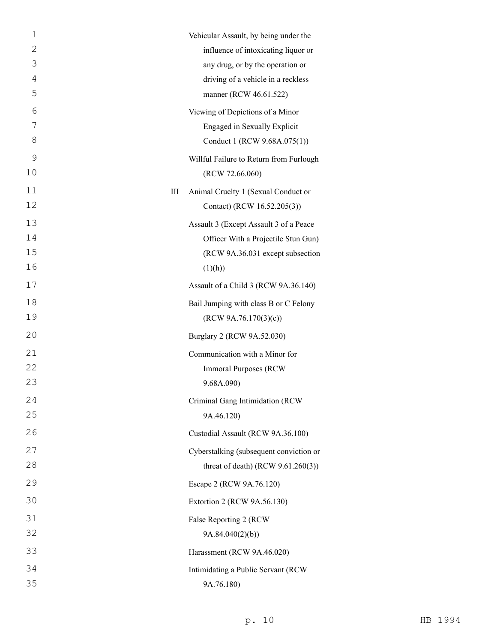| 1  |   | Vehicular Assault, by being under the   |
|----|---|-----------------------------------------|
| 2  |   | influence of intoxicating liquor or     |
| 3  |   | any drug, or by the operation or        |
| 4  |   | driving of a vehicle in a reckless      |
| 5  |   | manner (RCW 46.61.522)                  |
| 6  |   | Viewing of Depictions of a Minor        |
| 7  |   | Engaged in Sexually Explicit            |
| 8  |   | Conduct 1 (RCW 9.68A.075(1))            |
| 9  |   | Willful Failure to Return from Furlough |
| 10 |   | (RCW 72.66.060)                         |
| 11 | Ш | Animal Cruelty 1 (Sexual Conduct or     |
| 12 |   | Contact) (RCW 16.52.205(3))             |
| 13 |   | Assault 3 (Except Assault 3 of a Peace  |
| 14 |   | Officer With a Projectile Stun Gun)     |
| 15 |   | (RCW 9A.36.031 except subsection        |
| 16 |   | (1)(h))                                 |
| 17 |   | Assault of a Child 3 (RCW 9A.36.140)    |
| 18 |   | Bail Jumping with class B or C Felony   |
| 19 |   | (RCW 9A.76.170(3)(c))                   |
| 20 |   | Burglary 2 (RCW 9A.52.030)              |
| 21 |   | Communication with a Minor for          |
| 22 |   | <b>Immoral Purposes (RCW)</b>           |
| 23 |   | 9.68A.090)                              |
| 24 |   | Criminal Gang Intimidation (RCW         |
| 25 |   | 9A.46.120)                              |
| 26 |   | Custodial Assault (RCW 9A.36.100)       |
| 27 |   | Cyberstalking (subsequent conviction or |
| 28 |   | threat of death) (RCW $9.61.260(3)$ )   |
| 29 |   | Escape 2 (RCW 9A.76.120)                |
| 30 |   | Extortion 2 (RCW 9A.56.130)             |
| 31 |   | False Reporting 2 (RCW                  |
| 32 |   | 9A.84.040(2)(b)                         |
| 33 |   | Harassment (RCW 9A.46.020)              |
| 34 |   | Intimidating a Public Servant (RCW      |
| 35 |   | 9A.76.180)                              |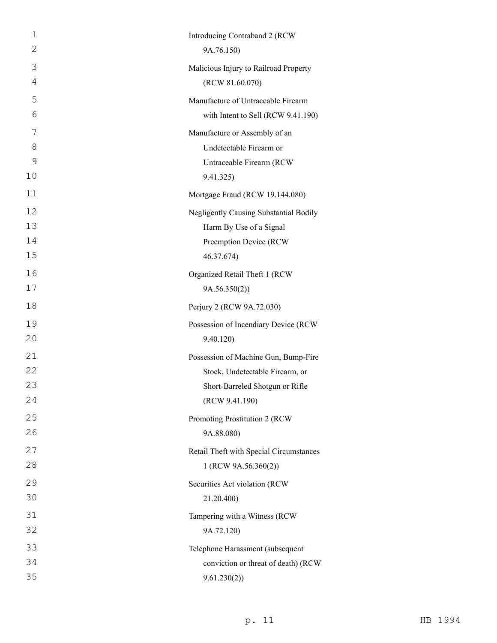| 1             | Introducing Contraband 2 (RCW           |
|---------------|-----------------------------------------|
| $\mathbf{2}$  | 9A.76.150)                              |
| 3             | Malicious Injury to Railroad Property   |
| 4             | (RCW 81.60.070)                         |
| 5             | Manufacture of Untraceable Firearm      |
| 6             | with Intent to Sell (RCW 9.41.190)      |
| 7             | Manufacture or Assembly of an           |
| 8             | Undetectable Firearm or                 |
| $\mathcal{G}$ | Untraceable Firearm (RCW                |
| 10            | 9.41.325)                               |
| 11            | Mortgage Fraud (RCW 19.144.080)         |
| 12            | Negligently Causing Substantial Bodily  |
| 13            | Harm By Use of a Signal                 |
| 14            | Preemption Device (RCW                  |
| 15            | 46.37.674)                              |
| 16            | Organized Retail Theft 1 (RCW           |
| 17            | 9A.56.350(2)                            |
| 18            | Perjury 2 (RCW 9A.72.030)               |
| 19            | Possession of Incendiary Device (RCW    |
| 20            | 9.40.120)                               |
| 21            | Possession of Machine Gun, Bump-Fire    |
| 22            | Stock, Undetectable Firearm, or         |
| 23            | Short-Barreled Shotgun or Rifle         |
| 24            | (RCW 9.41.190)                          |
| 25            | Promoting Prostitution 2 (RCW           |
| 26            | 9A.88.080)                              |
| 27            | Retail Theft with Special Circumstances |
| 28            | 1 (RCW 9A.56.360(2))                    |
| 29            | Securities Act violation (RCW           |
| 30            | 21.20.400)                              |
| 31            | Tampering with a Witness (RCW           |
| 32            | 9A.72.120)                              |
| 33            | Telephone Harassment (subsequent        |
| 34            | conviction or threat of death) (RCW     |
| 35            | 9.61.230(2))                            |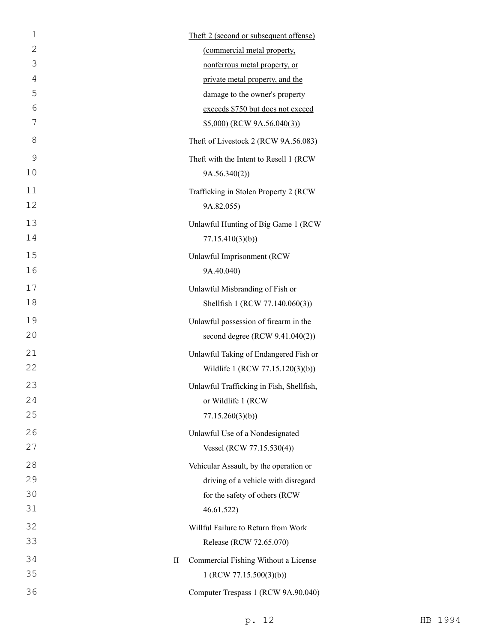| $\mathbf 1$ |           | Theft 2 (second or subsequent offense)   |
|-------------|-----------|------------------------------------------|
| 2           |           | (commercial metal property,              |
| 3           |           | nonferrous metal property, or            |
| 4           |           | private metal property, and the          |
| 5           |           | damage to the owner's property           |
| 6           |           | exceeds \$750 but does not exceed        |
| 7           |           | \$5,000) (RCW 9A.56.040(3))              |
| 8           |           | Theft of Livestock 2 (RCW 9A.56.083)     |
| 9           |           | Theft with the Intent to Resell 1 (RCW   |
| 10          |           | 9A.56.340(2))                            |
| 11          |           | Trafficking in Stolen Property 2 (RCW    |
| 12          |           | 9A.82.055)                               |
| 13          |           | Unlawful Hunting of Big Game 1 (RCW      |
| 14          |           | 77.15.410(3)(b)                          |
| 15          |           | Unlawful Imprisonment (RCW               |
| 16          |           | 9A.40.040)                               |
| 17          |           | Unlawful Misbranding of Fish or          |
| 18          |           | Shellfish 1 (RCW 77.140.060(3))          |
| 19          |           | Unlawful possession of firearm in the    |
| 20          |           | second degree (RCW 9.41.040(2))          |
| 21          |           | Unlawful Taking of Endangered Fish or    |
| 22          |           | Wildlife 1 (RCW 77.15.120(3)(b))         |
| 23          |           | Unlawful Trafficking in Fish, Shellfish, |
| 24          |           | or Wildlife 1 (RCW                       |
| 25          |           | 77.15.260(3)(b)                          |
| 26          |           | Unlawful Use of a Nondesignated          |
| 27          |           | Vessel (RCW 77.15.530(4))                |
| 28          |           | Vehicular Assault, by the operation or   |
| 29          |           | driving of a vehicle with disregard      |
| 30          |           | for the safety of others (RCW            |
| 31          |           | 46.61.522                                |
| 32          |           | Willful Failure to Return from Work      |
| 33          |           | Release (RCW 72.65.070)                  |
| 34          | $\rm{II}$ | Commercial Fishing Without a License     |
| 35          |           | 1 (RCW 77.15.500(3)(b))                  |
| 36          |           | Computer Trespass 1 (RCW 9A.90.040)      |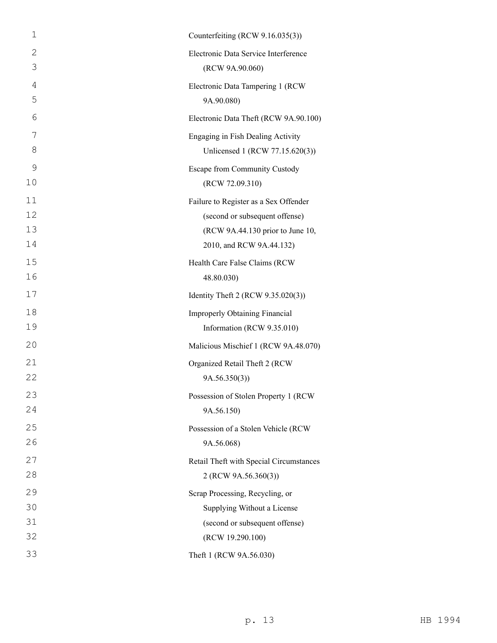| $\mathbf 1$ | Counterfeiting (RCW 9.16.035(3))        |
|-------------|-----------------------------------------|
| 2           | Electronic Data Service Interference    |
| 3           | (RCW 9A.90.060)                         |
| 4           | Electronic Data Tampering 1 (RCW        |
| 5           | 9A.90.080)                              |
| 6           | Electronic Data Theft (RCW 9A.90.100)   |
| 7           | Engaging in Fish Dealing Activity       |
| 8           | Unlicensed 1 (RCW 77.15.620(3))         |
| 9           | Escape from Community Custody           |
| 10          | (RCW 72.09.310)                         |
| 11          | Failure to Register as a Sex Offender   |
| 12          | (second or subsequent offense)          |
| 13          | (RCW 9A.44.130 prior to June 10,        |
| 14          | 2010, and RCW 9A.44.132)                |
| 15          | Health Care False Claims (RCW           |
| 16          | 48.80.030)                              |
| 17          | Identity Theft 2 (RCW 9.35.020(3))      |
| 18          | Improperly Obtaining Financial          |
| 19          | Information (RCW 9.35.010)              |
| 20          | Malicious Mischief 1 (RCW 9A.48.070)    |
| 21          | Organized Retail Theft 2 (RCW           |
| 22          | 9A.56.350(3)                            |
| 23          | Possession of Stolen Property 1 (RCW    |
| 24          | 9A.56.150)                              |
| 25          | Possession of a Stolen Vehicle (RCW     |
| 26          | 9A.56.068)                              |
| 27          | Retail Theft with Special Circumstances |
| 28          | 2 (RCW 9A.56.360(3))                    |
| 29          | Scrap Processing, Recycling, or         |
| 30          | Supplying Without a License             |
| 31          | (second or subsequent offense)          |
| 32          | (RCW 19.290.100)                        |
| 33          | Theft 1 (RCW 9A.56.030)                 |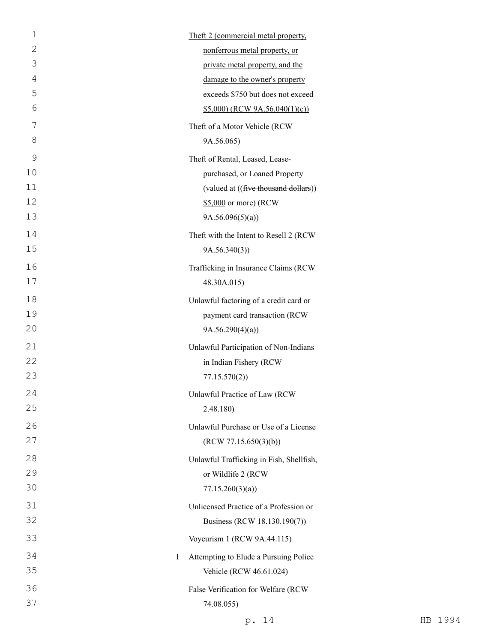| $\mathbf 1$ | Theft 2 (commercial metal property,      |
|-------------|------------------------------------------|
| 2           | nonferrous metal property, or            |
| 3           | private metal property, and the          |
| 4           | damage to the owner's property           |
| 5           | exceeds \$750 but does not exceed        |
| 6           | $$5,000$ (RCW 9A.56.040(1)(c))           |
| 7           | Theft of a Motor Vehicle (RCW            |
| 8           | 9A.56.065)                               |
| 9           | Theft of Rental, Leased, Lease-          |
| 10          | purchased, or Loaned Property            |
| 11          | (valued at ((five thousand dollars))     |
| 12          | \$5,000 or more) (RCW                    |
| 13          | 9A.56.096(5)(a)                          |
| 14          | Theft with the Intent to Resell 2 (RCW   |
| 15          | 9A.56.340(3)                             |
| 16          | Trafficking in Insurance Claims (RCW     |
| 17          | 48.30A.015)                              |
| 18          | Unlawful factoring of a credit card or   |
| 19          | payment card transaction (RCW            |
| 20          | 9A.56.290(4)(a)                          |
| 21          | Unlawful Participation of Non-Indians    |
| 22          | in Indian Fishery (RCW                   |
| 23          | 77.15.570(2)                             |
| 24          | Unlawful Practice of Law (RCW            |
| 25          | 2.48.180)                                |
| 26          | Unlawful Purchase or Use of a License    |
| 27          | (RCW 77.15.650(3)(b))                    |
| 28          | Unlawful Trafficking in Fish, Shellfish, |
| 29          | or Wildlife 2 (RCW                       |
| 30          | 77.15.260(3)(a)                          |
| 31          | Unlicensed Practice of a Profession or   |
| 32          | Business (RCW 18.130.190(7))             |
| 33          | Voyeurism 1 (RCW 9A.44.115)              |
| 34<br>I     | Attempting to Elude a Pursuing Police    |
| 35          | Vehicle (RCW 46.61.024)                  |
| 36          | False Verification for Welfare (RCW      |
| 37          | 74.08.055)                               |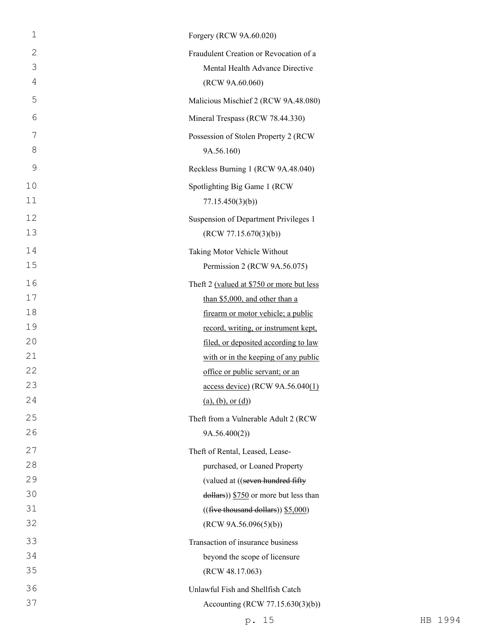| 1  | Forgery (RCW 9A.60.020)                             |
|----|-----------------------------------------------------|
| 2  | Fraudulent Creation or Revocation of a              |
| 3  | Mental Health Advance Directive                     |
| 4  | (RCW 9A.60.060)                                     |
| 5  | Malicious Mischief 2 (RCW 9A.48.080)                |
| 6  | Mineral Trespass (RCW 78.44.330)                    |
| 7  | Possession of Stolen Property 2 (RCW                |
| 8  | 9A.56.160)                                          |
| 9  | Reckless Burning 1 (RCW 9A.48.040)                  |
| 10 | Spotlighting Big Game 1 (RCW                        |
| 11 | 77.15.450(3)(b)                                     |
| 12 | Suspension of Department Privileges 1               |
| 13 | (RCW 77.15.670(3)(b))                               |
| 14 | Taking Motor Vehicle Without                        |
| 15 | Permission 2 (RCW 9A.56.075)                        |
| 16 | Theft 2 (valued at \$750 or more but less           |
| 17 | than \$5,000, and other than a                      |
| 18 | firearm or motor vehicle; a public                  |
| 19 | record, writing, or instrument kept,                |
| 20 | filed, or deposited according to law                |
| 21 | with or in the keeping of any public                |
| 22 | office or public servant; or an                     |
| 23 | access device) (RCW 9A.56.040(1)                    |
| 24 | (a), (b), or (d)                                    |
| 25 | Theft from a Vulnerable Adult 2 (RCW                |
| 26 | 9A.56.400(2))                                       |
| 27 | Theft of Rental, Leased, Lease-                     |
| 28 | purchased, or Loaned Property                       |
| 29 | (valued at ((seven hundred fifty)                   |
| 30 | $\frac{1}{2}$ dollars)) \$750 or more but less than |
| 31 | $((\text{five thousand dollars}))$ \$5,000)         |
| 32 | (RCW 9A.56.096(5)(b))                               |
| 33 | Transaction of insurance business                   |
| 34 | beyond the scope of licensure                       |
| 35 | (RCW 48.17.063)                                     |
| 36 | Unlawful Fish and Shellfish Catch                   |
| 37 | Accounting (RCW 77.15.630(3)(b))                    |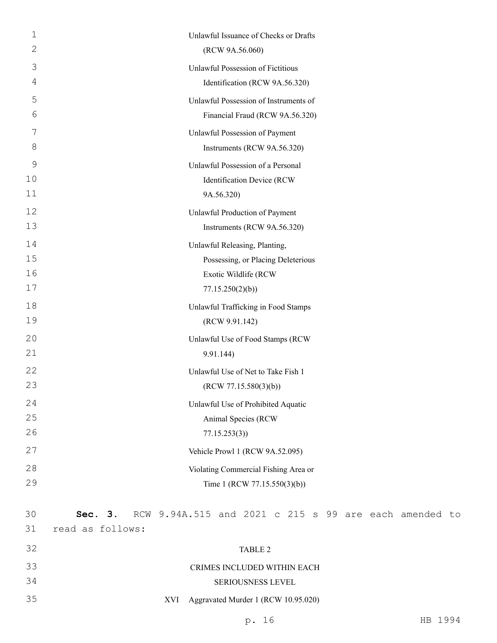| 1  | Unlawful Issuance of Checks or Drafts                            |
|----|------------------------------------------------------------------|
| 2  | (RCW 9A.56.060)                                                  |
| 3  | Unlawful Possession of Fictitious                                |
| 4  | Identification (RCW 9A.56.320)                                   |
| 5  | Unlawful Possession of Instruments of                            |
| 6  | Financial Fraud (RCW 9A.56.320)                                  |
| 7  | Unlawful Possession of Payment                                   |
| 8  | Instruments (RCW 9A.56.320)                                      |
| 9  | Unlawful Possession of a Personal                                |
| 10 | Identification Device (RCW                                       |
| 11 | 9A.56.320)                                                       |
| 12 | Unlawful Production of Payment                                   |
| 13 | Instruments (RCW 9A.56.320)                                      |
| 14 | Unlawful Releasing, Planting,                                    |
| 15 | Possessing, or Placing Deleterious                               |
| 16 | Exotic Wildlife (RCW                                             |
| 17 | 77.15.250(2)(b)                                                  |
| 18 | Unlawful Trafficking in Food Stamps                              |
| 19 | (RCW 9.91.142)                                                   |
| 20 | Unlawful Use of Food Stamps (RCW                                 |
| 21 | 9.91.144)                                                        |
| 22 | Unlawful Use of Net to Take Fish 1                               |
| 23 | (RCW 77.15.580(3)(b))                                            |
| 24 | Unlawful Use of Prohibited Aquatic                               |
| 25 | Animal Species (RCW                                              |
| 26 | 77.15.253(3)                                                     |
| 27 | Vehicle Prowl 1 (RCW 9A.52.095)                                  |
| 28 | Violating Commercial Fishing Area or                             |
| 29 | Time 1 (RCW 77.15.550(3)(b))                                     |
|    |                                                                  |
| 30 | RCW 9.94A.515 and 2021 c 215 s 99 are each amended to<br>Sec. 3. |
| 31 | read as follows:                                                 |
| 32 | TABLE 2                                                          |
| 33 | CRIMES INCLUDED WITHIN EACH                                      |

## 34 SERIOUSNESS LEVEL

35 XVI Aggravated Murder 1 (RCW 10.95.020)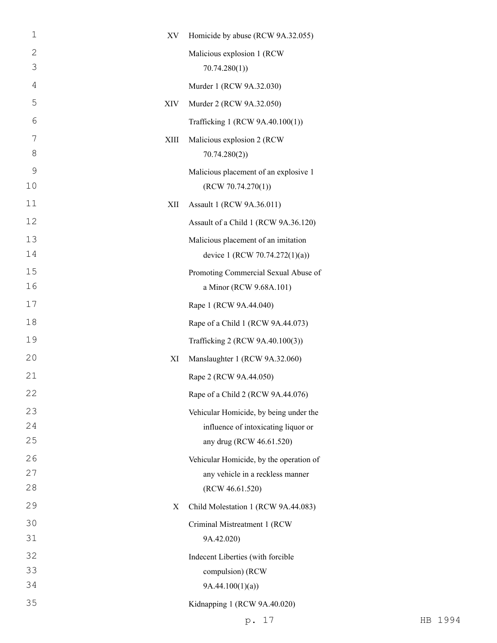| $\mathbf 1$    | XV   | Homicide by abuse (RCW 9A.32.055)                   |
|----------------|------|-----------------------------------------------------|
| $\mathbf{2}$   |      | Malicious explosion 1 (RCW                          |
| 3              |      | 70.74.280(1)                                        |
| $\overline{4}$ |      | Murder 1 (RCW 9A.32.030)                            |
| 5              | XIV  | Murder 2 (RCW 9A.32.050)                            |
| 6              |      | Trafficking 1 (RCW 9A.40.100(1))                    |
| 7              | XIII | Malicious explosion 2 (RCW                          |
| 8              |      | 70.74.280(2)                                        |
| 9              |      | Malicious placement of an explosive 1               |
| 10             |      | (RCW 70.74.270(1))                                  |
| 11             | XII  | Assault 1 (RCW 9A.36.011)                           |
| 12             |      | Assault of a Child 1 (RCW 9A.36.120)                |
| 13             |      | Malicious placement of an imitation                 |
| 14             |      | device 1 (RCW 70.74.272(1)(a))                      |
| 15             |      | Promoting Commercial Sexual Abuse of                |
| 16             |      | a Minor (RCW 9.68A.101)                             |
| 17             |      | Rape 1 (RCW 9A.44.040)                              |
| 18             |      | Rape of a Child 1 (RCW 9A.44.073)                   |
| 19             |      | Trafficking 2 (RCW 9A.40.100(3))                    |
| 20             | XI   | Manslaughter 1 (RCW 9A.32.060)                      |
| 21             |      | Rape 2 (RCW 9A.44.050)                              |
| 22             |      | Rape of a Child 2 (RCW 9A.44.076)                   |
| 23             |      | Vehicular Homicide, by being under the              |
| 24             |      | influence of intoxicating liquor or                 |
| 25             |      | any drug (RCW 46.61.520)                            |
| 26             |      | Vehicular Homicide, by the operation of             |
| 27<br>28       |      | any vehicle in a reckless manner<br>(RCW 46.61.520) |
| 29             |      |                                                     |
|                | X    | Child Molestation 1 (RCW 9A.44.083)                 |
| 30<br>31       |      | Criminal Mistreatment 1 (RCW<br>9A.42.020)          |
| 32             |      | Indecent Liberties (with forcible                   |
| 33             |      | compulsion) (RCW                                    |
| 34             |      | 9A.44.100(1)(a)                                     |
| 35             |      | Kidnapping 1 (RCW 9A.40.020)                        |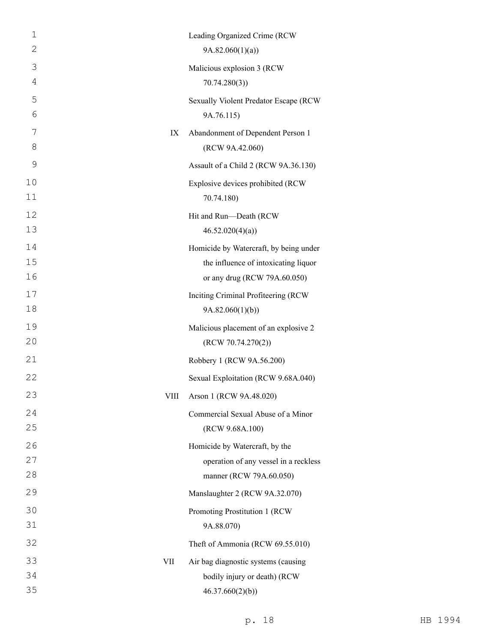| $\mathbf 1$    |             | Leading Organized Crime (RCW           |
|----------------|-------------|----------------------------------------|
| 2              |             | 9A.82.060(1)(a)                        |
| 3              |             | Malicious explosion 3 (RCW             |
| $\overline{4}$ |             | 70.74.280(3)                           |
| 5              |             | Sexually Violent Predator Escape (RCW  |
| 6              |             | 9A.76.115)                             |
| 7              | IX          | Abandonment of Dependent Person 1      |
| 8              |             | (RCW 9A.42.060)                        |
| 9              |             | Assault of a Child 2 (RCW 9A.36.130)   |
| 10             |             | Explosive devices prohibited (RCW      |
| 11             |             | 70.74.180)                             |
| 12             |             | Hit and Run-Death (RCW                 |
| 13             |             | 46.52.020(4)(a)                        |
| 14             |             | Homicide by Watercraft, by being under |
| 15             |             | the influence of intoxicating liquor   |
| 16             |             | or any drug (RCW 79A.60.050)           |
| 17             |             | Inciting Criminal Profiteering (RCW    |
| 18             |             | 9A.82.060(1)(b)                        |
| 19             |             | Malicious placement of an explosive 2  |
| 20             |             | (RCW 70.74.270(2))                     |
| 21             |             | Robbery 1 (RCW 9A.56.200)              |
| 22             |             | Sexual Exploitation (RCW 9.68A.040)    |
| 23             | <b>VIII</b> | Arson 1 (RCW 9A.48.020)                |
| 24             |             | Commercial Sexual Abuse of a Minor     |
| 25             |             | (RCW 9.68A.100)                        |
| 26             |             | Homicide by Watercraft, by the         |
| 27             |             | operation of any vessel in a reckless  |
| 28             |             | manner (RCW 79A.60.050)                |
| 29             |             | Manslaughter 2 (RCW 9A.32.070)         |
| 30             |             | Promoting Prostitution 1 (RCW          |
| 31             |             | 9A.88.070)                             |
| 32             |             | Theft of Ammonia (RCW 69.55.010)       |
| 33             | VII         | Air bag diagnostic systems (causing    |
| 34             |             | bodily injury or death) (RCW           |
| 35             |             | 46.37.660(2)(b)                        |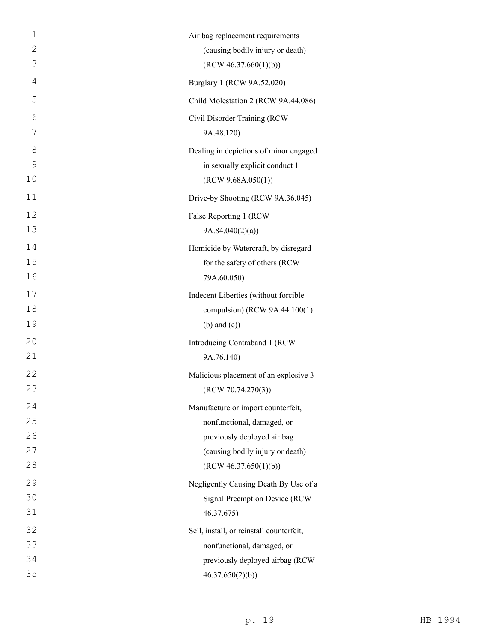| $\mathbf 1$    | Air bag replacement requirements         |
|----------------|------------------------------------------|
| $\mathbf{2}$   | (causing bodily injury or death)         |
| 3              | (RCW 46.37.660(1)(b))                    |
| $\overline{4}$ | Burglary 1 (RCW 9A.52.020)               |
| 5              | Child Molestation 2 (RCW 9A.44.086)      |
| 6              | Civil Disorder Training (RCW             |
| 7              | 9A.48.120)                               |
| 8              | Dealing in depictions of minor engaged   |
| $\mathcal{G}$  | in sexually explicit conduct 1           |
| 10             | (RCW 9.68A.050(1))                       |
| 11             | Drive-by Shooting (RCW 9A.36.045)        |
| 12             | False Reporting 1 (RCW                   |
| 13             | 9A.84.040(2)(a)                          |
| 14             | Homicide by Watercraft, by disregard     |
| 15             | for the safety of others (RCW            |
| 16             | 79A.60.050)                              |
| 17             | Indecent Liberties (without forcible     |
| 18             | compulsion) (RCW 9A.44.100(1)            |
| 19             | $(b)$ and $(c)$ )                        |
| 20             | Introducing Contraband 1 (RCW            |
| 21             | 9A.76.140)                               |
| 22             | Malicious placement of an explosive 3    |
| 23             | (RCW 70.74.270(3))                       |
| 24             | Manufacture or import counterfeit,       |
| 25             | nonfunctional, damaged, or               |
| 26             | previously deployed air bag              |
| 27             | (causing bodily injury or death)         |
| 28             | (RCW 46.37.650(1)(b))                    |
| 29             | Negligently Causing Death By Use of a    |
| 30             | Signal Preemption Device (RCW            |
| 31             | 46.37.675)                               |
| 32             | Sell, install, or reinstall counterfeit, |
| 33             | nonfunctional, damaged, or               |
| 34             | previously deployed airbag (RCW          |
| 35             | 46.37.650(2)(b)                          |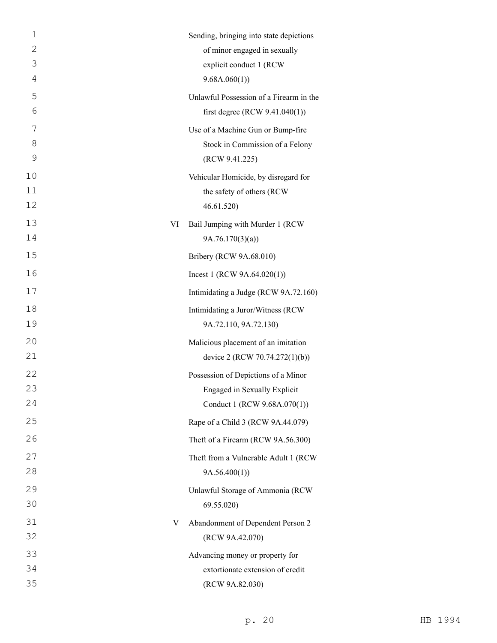| $\mathbf 1$ |    | Sending, bringing into state depictions |
|-------------|----|-----------------------------------------|
| 2           |    | of minor engaged in sexually            |
| 3           |    | explicit conduct 1 (RCW                 |
| 4           |    | 9.68A.060(1)                            |
| 5           |    | Unlawful Possession of a Firearm in the |
| 6           |    | first degree (RCW $9.41.040(1)$ )       |
| 7           |    | Use of a Machine Gun or Bump-fire       |
| 8           |    | Stock in Commission of a Felony         |
| 9           |    | (RCW 9.41.225)                          |
| 10          |    | Vehicular Homicide, by disregard for    |
| 11          |    | the safety of others (RCW               |
| 12          |    | 46.61.520)                              |
| 13          | VI | Bail Jumping with Murder 1 (RCW         |
| 14          |    | 9A.76.170(3)(a)                         |
| 15          |    | Bribery (RCW 9A.68.010)                 |
| 16          |    | Incest 1 (RCW $9A.64.020(1)$ )          |
| 17          |    | Intimidating a Judge (RCW 9A.72.160)    |
| 18          |    | Intimidating a Juror/Witness (RCW       |
| 19          |    | 9A.72.110, 9A.72.130)                   |
| 20          |    | Malicious placement of an imitation     |
| 21          |    | device 2 (RCW 70.74.272(1)(b))          |
| 22          |    | Possession of Depictions of a Minor     |
| 23          |    | Engaged in Sexually Explicit            |
| 24          |    | Conduct 1 (RCW 9.68A.070(1))            |
| 25          |    | Rape of a Child 3 (RCW 9A.44.079)       |
| 26          |    | Theft of a Firearm (RCW 9A.56.300)      |
| 27          |    | Theft from a Vulnerable Adult 1 (RCW    |
| 28          |    | 9A.56.400(1)                            |
| 29          |    | Unlawful Storage of Ammonia (RCW        |
| 30          |    | 69.55.020                               |
| 31          | V  | Abandonment of Dependent Person 2       |
| 32          |    | (RCW 9A.42.070)                         |
| 33          |    | Advancing money or property for         |
| 34          |    | extortionate extension of credit        |
| 35          |    | (RCW 9A.82.030)                         |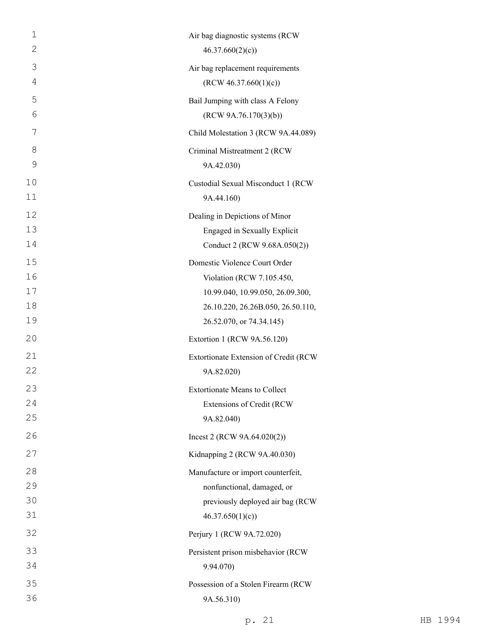| 1            | Air bag diagnostic systems (RCW       |
|--------------|---------------------------------------|
| $\mathbf{2}$ | 46.37.660(2)(c)                       |
| 3            | Air bag replacement requirements      |
| 4            | (RCW 46.37.660(1)(c))                 |
| 5            | Bail Jumping with class A Felony      |
| 6            | (RCW 9A.76.170(3)(b))                 |
| 7            | Child Molestation 3 (RCW 9A.44.089)   |
| 8            | Criminal Mistreatment 2 (RCW          |
| 9            | 9A.42.030)                            |
| 10           | Custodial Sexual Misconduct 1 (RCW    |
| 11           | 9A.44.160)                            |
| 12           | Dealing in Depictions of Minor        |
| 13           | Engaged in Sexually Explicit          |
| 14           | Conduct 2 (RCW 9.68A.050(2))          |
| 15           | Domestic Violence Court Order         |
| 16           | Violation (RCW 7.105.450,             |
| 17           | 10.99.040, 10.99.050, 26.09.300,      |
| 18           | 26.10.220, 26.26B.050, 26.50.110,     |
| 19           | 26.52.070, or 74.34.145)              |
| 20           | Extortion 1 (RCW 9A.56.120)           |
| 21           | Extortionate Extension of Credit (RCW |
| 22           | 9A.82.020)                            |
| 23           | <b>Extortionate Means to Collect</b>  |
| 24           | Extensions of Credit (RCW             |
| 25           | 9A.82.040)                            |
| 26           | Incest 2 (RCW $9A.64.020(2)$ )        |
| 27           | Kidnapping 2 (RCW 9A.40.030)          |
| 28           | Manufacture or import counterfeit,    |
| 29           | nonfunctional, damaged, or            |
| 30           | previously deployed air bag (RCW      |
| 31           | 46.37.650(1)(c)                       |
| 32           | Perjury 1 (RCW 9A.72.020)             |
| 33           | Persistent prison misbehavior (RCW    |
| 34           | 9.94.070)                             |
| 35           | Possession of a Stolen Firearm (RCW   |
| 36           | 9A.56.310)                            |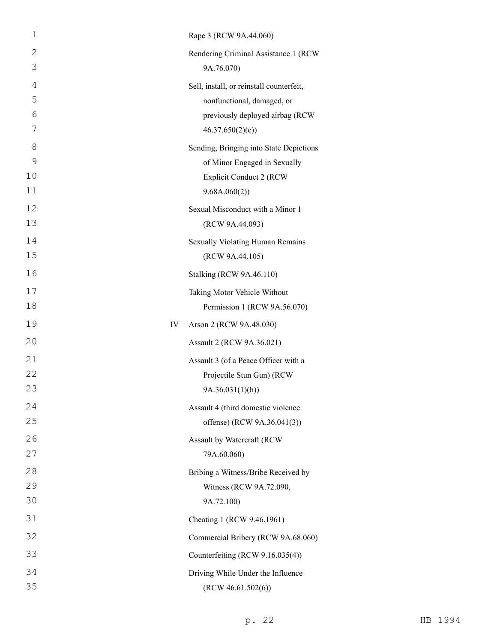| $\mathbf 1$    |    | Rape 3 (RCW 9A.44.060)                   |
|----------------|----|------------------------------------------|
| $\mathbf{2}$   |    | Rendering Criminal Assistance 1 (RCW     |
| 3              |    | 9A.76.070)                               |
| $\overline{4}$ |    | Sell, install, or reinstall counterfeit, |
| 5              |    | nonfunctional, damaged, or               |
| 6              |    | previously deployed airbag (RCW          |
| 7              |    | 46.37.650(2)(c)                          |
| 8              |    | Sending, Bringing into State Depictions  |
| $\mathcal{G}$  |    | of Minor Engaged in Sexually             |
| 10             |    | <b>Explicit Conduct 2 (RCW)</b>          |
| 11             |    | 9.68A.060(2))                            |
| 12             |    | Sexual Misconduct with a Minor 1         |
| 13             |    | (RCW 9A.44.093)                          |
| 14             |    | Sexually Violating Human Remains         |
| 15             |    | (RCW 9A.44.105)                          |
| 16             |    | Stalking (RCW 9A.46.110)                 |
| 17             |    | Taking Motor Vehicle Without             |
| 18             |    | Permission 1 (RCW 9A.56.070)             |
| 19             | IV | Arson 2 (RCW 9A.48.030)                  |
| 20             |    | Assault 2 (RCW 9A.36.021)                |
| 21             |    | Assault 3 (of a Peace Officer with a     |
| 22             |    | Projectile Stun Gun) (RCW                |
| 23             |    | 9A.36.031(1)(h)                          |
| 24             |    | Assault 4 (third domestic violence       |
| 25             |    | offense) (RCW 9A.36.041(3))              |
| 26             |    | Assault by Watercraft (RCW               |
| 27             |    | 79A.60.060)                              |
| 28             |    | Bribing a Witness/Bribe Received by      |
| 29             |    | Witness (RCW 9A.72.090,                  |
| 30             |    | 9A.72.100)                               |
| 31             |    | Cheating 1 (RCW 9.46.1961)               |
| 32             |    | Commercial Bribery (RCW 9A.68.060)       |
| 33             |    | Counterfeiting (RCW 9.16.035(4))         |
| 34             |    | Driving While Under the Influence        |
| 35             |    | (RCW 46.61.502(6))                       |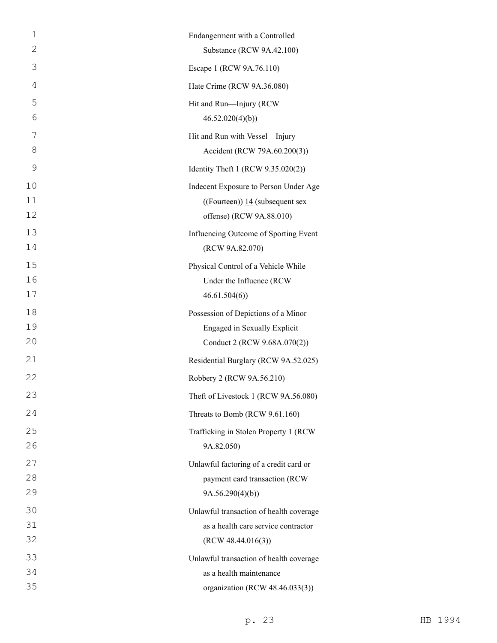| $\mathbf 1$ | Endangerment with a Controlled          |
|-------------|-----------------------------------------|
| 2           | Substance (RCW 9A.42.100)               |
| 3           | Escape 1 (RCW 9A.76.110)                |
| 4           | Hate Crime (RCW 9A.36.080)              |
| 5           | Hit and Run-Injury (RCW                 |
| 6           | 46.52.020(4)(b)                         |
| 7           | Hit and Run with Vessel-Injury          |
| 8           | Accident (RCW 79A.60.200(3))            |
| 9           | Identity Theft 1 (RCW 9.35.020(2))      |
| 10          | Indecent Exposure to Person Under Age   |
| 11          | $((Fouteren))$ 14 (subsequent sex       |
| 12          | offense) (RCW 9A.88.010)                |
| 13          | Influencing Outcome of Sporting Event   |
| 14          | (RCW 9A.82.070)                         |
| 15          | Physical Control of a Vehicle While     |
| 16          | Under the Influence (RCW                |
| 17          | 46.61.504(6)                            |
| 18          | Possession of Depictions of a Minor     |
| 19          | Engaged in Sexually Explicit            |
| 20          | Conduct 2 (RCW 9.68A.070(2))            |
| 21          | Residential Burglary (RCW 9A.52.025)    |
| 22          | Robbery 2 (RCW 9A.56.210)               |
| 23          | Theft of Livestock 1 (RCW 9A.56.080)    |
| 24          | Threats to Bomb (RCW 9.61.160)          |
| 25          | Trafficking in Stolen Property 1 (RCW   |
| 26          | 9A.82.050)                              |
| 27          | Unlawful factoring of a credit card or  |
| 28          | payment card transaction (RCW           |
| 29          | 9A.56.290(4)(b)                         |
| 30          | Unlawful transaction of health coverage |
| 31          | as a health care service contractor     |
| 32          | (RCW 48.44.016(3))                      |
| 33          | Unlawful transaction of health coverage |
| 34          | as a health maintenance                 |
| 35          | organization (RCW 48.46.033(3))         |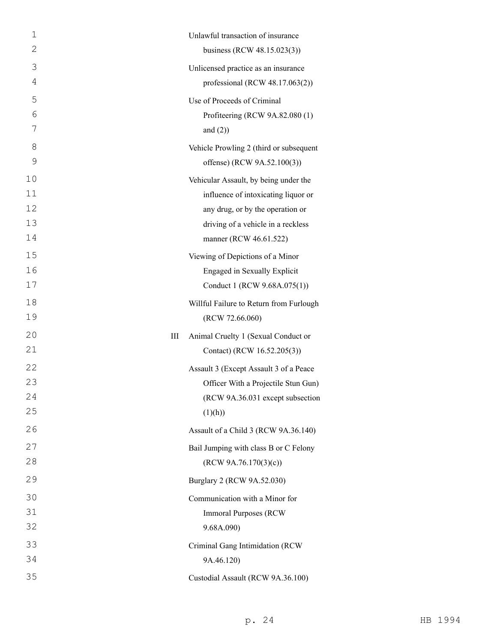| $\mathbf{1}$ | Unlawful transaction of insurance                                             |
|--------------|-------------------------------------------------------------------------------|
| 2            | business (RCW 48.15.023(3))                                                   |
| 3            | Unlicensed practice as an insurance                                           |
| 4            | professional (RCW $48.17.063(2)$ )                                            |
| 5            | Use of Proceeds of Criminal                                                   |
| 6            | Profiteering (RCW 9A.82.080 (1)                                               |
| 7            | and $(2)$ )                                                                   |
| 8            | Vehicle Prowling 2 (third or subsequent                                       |
| 9            | offense) (RCW 9A.52.100(3))                                                   |
| 10           | Vehicular Assault, by being under the                                         |
| 11           | influence of intoxicating liquor or                                           |
| 12           | any drug, or by the operation or                                              |
| 13           | driving of a vehicle in a reckless                                            |
| 14           | manner (RCW 46.61.522)                                                        |
| 15           | Viewing of Depictions of a Minor                                              |
| 16<br>17     | Engaged in Sexually Explicit                                                  |
|              | Conduct 1 (RCW 9.68A.075(1))                                                  |
| 18<br>19     | Willful Failure to Return from Furlough                                       |
|              | (RCW 72.66.060)                                                               |
| 20<br>21     | Ш<br>Animal Cruelty 1 (Sexual Conduct or<br>Contact) (RCW 16.52.205(3))       |
|              |                                                                               |
| 22<br>23     | Assault 3 (Except Assault 3 of a Peace<br>Officer With a Projectile Stun Gun) |
| 24           | (RCW 9A.36.031 except subsection                                              |
| 25           | (1)(h))                                                                       |
| 26           | Assault of a Child 3 (RCW 9A.36.140)                                          |
| 27           | Bail Jumping with class B or C Felony                                         |
| 28           | (RCW 9A.76.170(3)(c))                                                         |
| 29           | Burglary 2 (RCW 9A.52.030)                                                    |
| 30           | Communication with a Minor for                                                |
| 31           | <b>Immoral Purposes (RCW)</b>                                                 |
| 32           | 9.68A.090)                                                                    |
| 33           | Criminal Gang Intimidation (RCW                                               |
| 34           | 9A.46.120)                                                                    |
| 35           | Custodial Assault (RCW 9A.36.100)                                             |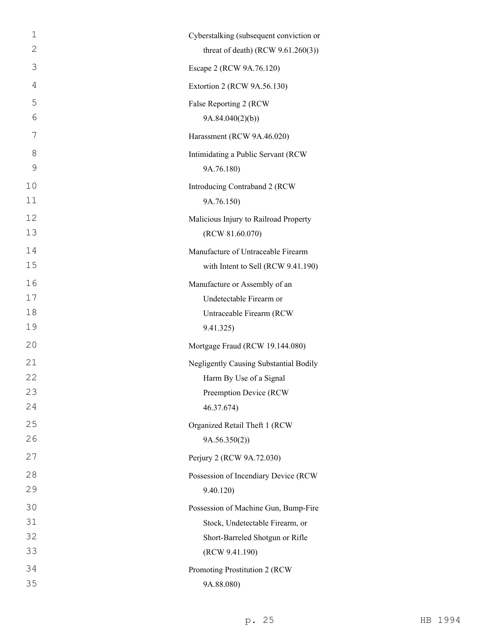| 1              | Cyberstalking (subsequent conviction or |
|----------------|-----------------------------------------|
| 2              | threat of death) (RCW $9.61.260(3)$ )   |
| 3              | Escape 2 (RCW 9A.76.120)                |
| $\overline{4}$ | Extortion 2 (RCW 9A.56.130)             |
| 5              | False Reporting 2 (RCW                  |
| 6              | 9A.84.040(2)(b)                         |
| 7              | Harassment (RCW 9A.46.020)              |
| 8              | Intimidating a Public Servant (RCW      |
| 9              | 9A.76.180)                              |
| 10             | Introducing Contraband 2 (RCW           |
| 11             | 9A.76.150)                              |
| 12             | Malicious Injury to Railroad Property   |
| 13             | (RCW 81.60.070)                         |
| 14             | Manufacture of Untraceable Firearm      |
| 15             | with Intent to Sell (RCW 9.41.190)      |
| 16             | Manufacture or Assembly of an           |
| 17             | Undetectable Firearm or                 |
| 18             | Untraceable Firearm (RCW                |
| 19             | 9.41.325)                               |
| 20             | Mortgage Fraud (RCW 19.144.080)         |
| 21             | Negligently Causing Substantial Bodily  |
| 22             | Harm By Use of a Signal                 |
| 23             | Preemption Device (RCW                  |
| 24             | 46.37.674)                              |
| 25             | Organized Retail Theft 1 (RCW           |
| 26             | 9A.56.350(2)                            |
| 27             | Perjury 2 (RCW 9A.72.030)               |
| 28             | Possession of Incendiary Device (RCW    |
| 29             | 9.40.120                                |
| 30             | Possession of Machine Gun, Bump-Fire    |
| 31             | Stock, Undetectable Firearm, or         |
| 32             | Short-Barreled Shotgun or Rifle         |
| 33             | (RCW 9.41.190)                          |
| 34             | Promoting Prostitution 2 (RCW           |
| 35             | 9A.88.080)                              |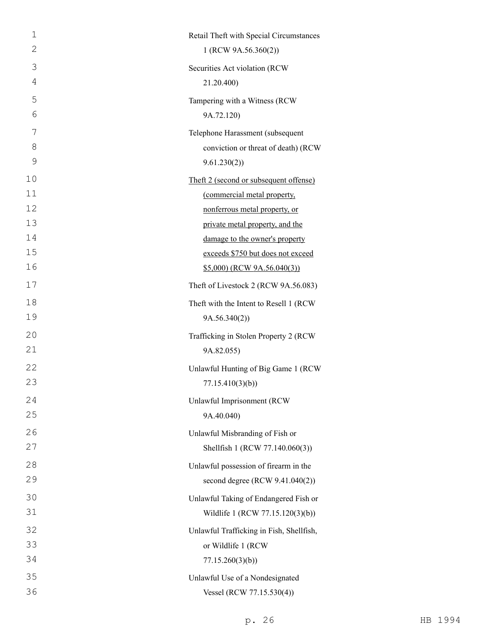| $\mathbf 1$<br>$\mathbf{2}$ | Retail Theft with Special Circumstances  |
|-----------------------------|------------------------------------------|
|                             | 1 (RCW 9A.56.360(2))                     |
| 3                           | Securities Act violation (RCW            |
| 4                           | 21.20.400)                               |
| 5                           | Tampering with a Witness (RCW            |
| 6                           | 9A.72.120)                               |
| 7                           | Telephone Harassment (subsequent         |
| 8                           | conviction or threat of death) (RCW      |
| 9                           | 9.61.230(2)                              |
| 10                          | Theft 2 (second or subsequent offense)   |
| 11                          | (commercial metal property,              |
| 12                          | nonferrous metal property, or            |
| 13                          | private metal property, and the          |
| 14                          | damage to the owner's property           |
| 15                          | exceeds \$750 but does not exceed        |
| 16                          | $$5,000)$ (RCW 9A.56.040(3))             |
| 17                          | Theft of Livestock 2 (RCW 9A.56.083)     |
| 18                          | Theft with the Intent to Resell 1 (RCW   |
| 19                          | 9A.56.340(2))                            |
| 20                          | Trafficking in Stolen Property 2 (RCW    |
| 21                          | 9A.82.055)                               |
| 22                          | Unlawful Hunting of Big Game 1 (RCW      |
| 23                          | 77.15.410(3)(b)                          |
| 24                          | Unlawful Imprisonment (RCW               |
| 25                          | 9A.40.040)                               |
| 26                          | Unlawful Misbranding of Fish or          |
| 27                          | Shellfish 1 (RCW 77.140.060(3))          |
| 28                          | Unlawful possession of firearm in the    |
| 29                          | second degree (RCW 9.41.040(2))          |
| 30                          | Unlawful Taking of Endangered Fish or    |
| 31                          | Wildlife 1 (RCW 77.15.120(3)(b))         |
| 32                          | Unlawful Trafficking in Fish, Shellfish, |
| 33                          | or Wildlife 1 (RCW                       |
| 34                          | 77.15.260(3)(b)                          |
| 35                          | Unlawful Use of a Nondesignated          |
| 36                          | Vessel (RCW 77.15.530(4))                |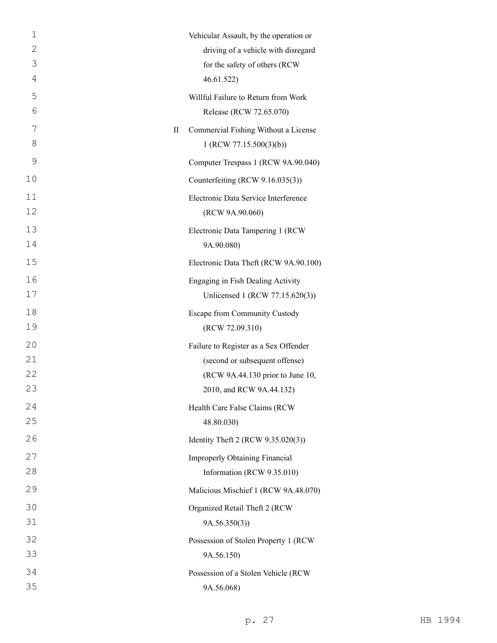| 1  |   | Vehicular Assault, by the operation or |
|----|---|----------------------------------------|
| 2  |   | driving of a vehicle with disregard    |
| 3  |   | for the safety of others (RCW          |
| 4  |   | 46.61.522)                             |
| 5  |   | Willful Failure to Return from Work    |
| 6  |   | Release (RCW 72.65.070)                |
| 7  | П | Commercial Fishing Without a License   |
| 8  |   | 1 (RCW 77.15.500(3)(b))                |
| 9  |   | Computer Trespass 1 (RCW 9A.90.040)    |
| 10 |   | Counterfeiting (RCW 9.16.035(3))       |
| 11 |   | Electronic Data Service Interference   |
| 12 |   | (RCW 9A.90.060)                        |
| 13 |   | Electronic Data Tampering 1 (RCW       |
| 14 |   | 9A.90.080)                             |
| 15 |   | Electronic Data Theft (RCW 9A.90.100)  |
| 16 |   | Engaging in Fish Dealing Activity      |
| 17 |   | Unlicensed 1 (RCW 77.15.620(3))        |
| 18 |   | Escape from Community Custody          |
| 19 |   | (RCW 72.09.310)                        |
| 20 |   | Failure to Register as a Sex Offender  |
| 21 |   | (second or subsequent offense)         |
| 22 |   | (RCW 9A.44.130 prior to June 10,       |
| 23 |   | 2010, and RCW 9A.44.132)               |
| 24 |   | Health Care False Claims (RCW          |
| 25 |   | 48.80.030)                             |
| 26 |   | Identity Theft 2 (RCW 9.35.020(3))     |
| 27 |   | <b>Improperly Obtaining Financial</b>  |
| 28 |   | Information (RCW 9.35.010)             |
| 29 |   | Malicious Mischief 1 (RCW 9A.48.070)   |
| 30 |   | Organized Retail Theft 2 (RCW          |
| 31 |   | 9A.56.350(3)                           |
| 32 |   | Possession of Stolen Property 1 (RCW   |
| 33 |   | 9A.56.150)                             |
| 34 |   | Possession of a Stolen Vehicle (RCW    |
| 35 |   | 9A.56.068)                             |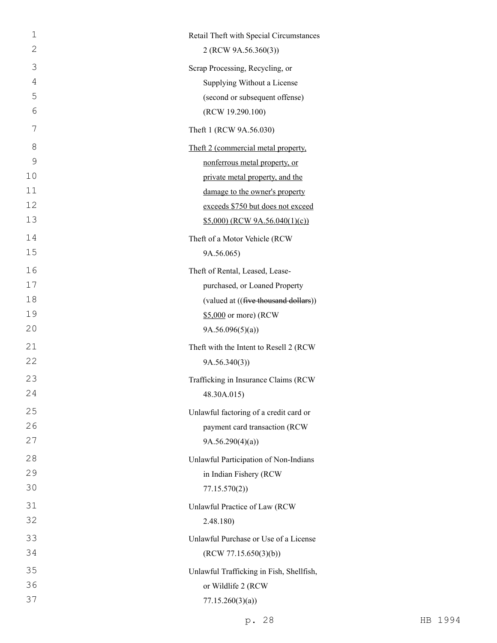| $\mathbf 1$    | Retail Theft with Special Circumstances  |
|----------------|------------------------------------------|
| $\mathbf{2}$   | 2 (RCW 9A.56.360(3))                     |
| 3              | Scrap Processing, Recycling, or          |
| $\overline{4}$ | Supplying Without a License              |
| 5              | (second or subsequent offense)           |
| 6              | (RCW 19.290.100)                         |
| 7              | Theft 1 (RCW 9A.56.030)                  |
| 8              | Theft 2 (commercial metal property,      |
| 9              | nonferrous metal property, or            |
| 10             | private metal property, and the          |
| 11             | damage to the owner's property           |
| 12             | exceeds \$750 but does not exceed        |
| 13             | $$5,000$ (RCW 9A.56.040(1)(c))           |
| 14             | Theft of a Motor Vehicle (RCW            |
| 15             | 9A.56.065)                               |
| 16             | Theft of Rental, Leased, Lease-          |
| 17             | purchased, or Loaned Property            |
| 18             | (valued at ((five thousand dollars))     |
| 19             | \$5,000 or more) (RCW                    |
| 20             | 9A.56.096(5)(a)                          |
| 21             | Theft with the Intent to Resell 2 (RCW   |
| 22             | 9A.56.340(3)                             |
| 23             | Trafficking in Insurance Claims (RCW     |
| 24             | 48.30A.015)                              |
| 25             | Unlawful factoring of a credit card or   |
| 26             | payment card transaction (RCW            |
| 27             | 9A.56.290(4)(a)                          |
| 28             | Unlawful Participation of Non-Indians    |
| 29             | in Indian Fishery (RCW                   |
| 30             | 77.15.570(2)                             |
| 31             | Unlawful Practice of Law (RCW            |
| 32             | 2.48.180)                                |
| 33             | Unlawful Purchase or Use of a License    |
| 34             | (RCW 77.15.650(3)(b))                    |
| 35             | Unlawful Trafficking in Fish, Shellfish, |
| 36             | or Wildlife 2 (RCW                       |
| 37             | 77.15.260(3)(a))                         |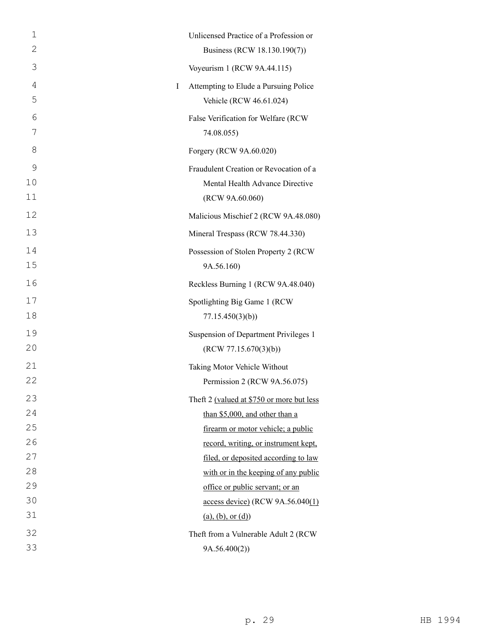| 1  | Unlicensed Practice of a Profession or                 |  |
|----|--------------------------------------------------------|--|
| 2  | Business (RCW 18.130.190(7))                           |  |
| 3  | Voyeurism 1 (RCW 9A.44.115)                            |  |
| 4  | Attempting to Elude a Pursuing Police<br>Ι             |  |
| 5  | Vehicle (RCW 46.61.024)                                |  |
| 6  | False Verification for Welfare (RCW                    |  |
| 7  | 74.08.055)                                             |  |
| 8  | Forgery (RCW 9A.60.020)                                |  |
| 9  | Fraudulent Creation or Revocation of a                 |  |
| 10 | Mental Health Advance Directive                        |  |
| 11 | (RCW 9A.60.060)                                        |  |
| 12 | Malicious Mischief 2 (RCW 9A.48.080)                   |  |
| 13 | Mineral Trespass (RCW 78.44.330)                       |  |
| 14 | Possession of Stolen Property 2 (RCW                   |  |
| 15 | 9A.56.160)                                             |  |
| 16 | Reckless Burning 1 (RCW 9A.48.040)                     |  |
| 17 | Spotlighting Big Game 1 (RCW                           |  |
| 18 | 77.15.450(3)(b)                                        |  |
| 19 | Suspension of Department Privileges 1                  |  |
| 20 | (RCW 77.15.670(3)(b))                                  |  |
| 21 | Taking Motor Vehicle Without                           |  |
| 22 | Permission 2 (RCW 9A.56.075)                           |  |
| 23 | Theft 2 (valued at \$750 or more but less              |  |
| 24 | than \$5,000, and other than a                         |  |
| 25 | firearm or motor vehicle; a public                     |  |
| 26 | record, writing, or instrument kept,                   |  |
| 27 | filed, or deposited according to law                   |  |
| 28 | with or in the keeping of any public                   |  |
| 29 | office or public servant; or an                        |  |
| 30 | $\frac{\text{access device}}{\text{RCW 9A.56.040(1)}}$ |  |
| 31 | (a), (b), or (d)                                       |  |
| 32 | Theft from a Vulnerable Adult 2 (RCW                   |  |
| 33 | 9A.56.400(2))                                          |  |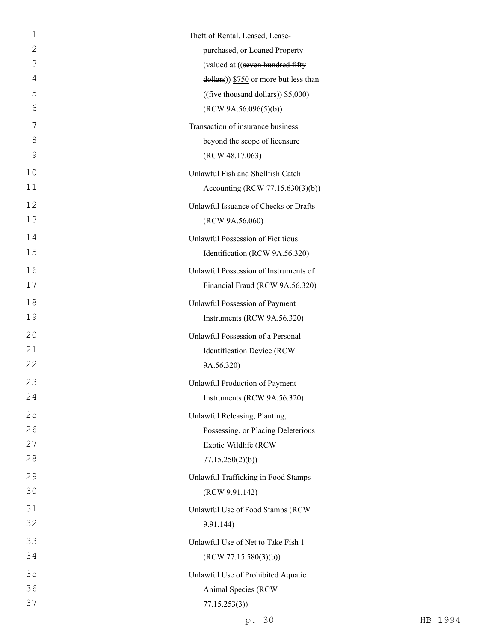| 1  | Theft of Rental, Leased, Lease-                     |
|----|-----------------------------------------------------|
| 2  | purchased, or Loaned Property                       |
| 3  | (valued at ((seven hundred fifty                    |
| 4  | $\frac{1}{2}$ dollars)) \$750 or more but less than |
| 5  | ((five thousand dollars)) \$5,000)                  |
| 6  | (RCW 9A.56.096(5)(b))                               |
| 7  | Transaction of insurance business                   |
| 8  | beyond the scope of licensure                       |
| 9  | (RCW 48.17.063)                                     |
| 10 | Unlawful Fish and Shellfish Catch                   |
| 11 | Accounting (RCW 77.15.630(3)(b))                    |
| 12 | Unlawful Issuance of Checks or Drafts               |
| 13 | (RCW 9A.56.060)                                     |
| 14 | Unlawful Possession of Fictitious                   |
| 15 | Identification (RCW 9A.56.320)                      |
| 16 | Unlawful Possession of Instruments of               |
| 17 | Financial Fraud (RCW 9A.56.320)                     |
| 18 | Unlawful Possession of Payment                      |
| 19 | Instruments (RCW 9A.56.320)                         |
| 20 | Unlawful Possession of a Personal                   |
| 21 | Identification Device (RCW                          |
| 22 | 9A.56.320)                                          |
| 23 | Unlawful Production of Payment                      |
| 24 | Instruments (RCW 9A.56.320)                         |
| 25 | Unlawful Releasing, Planting,                       |
| 26 | Possessing, or Placing Deleterious                  |
| 27 | Exotic Wildlife (RCW                                |
| 28 | 77.15.250(2)(b)                                     |
| 29 | Unlawful Trafficking in Food Stamps                 |
| 30 | (RCW 9.91.142)                                      |
| 31 | Unlawful Use of Food Stamps (RCW                    |
| 32 | 9.91.144)                                           |
| 33 | Unlawful Use of Net to Take Fish 1                  |
| 34 | (RCW 77.15.580(3)(b))                               |
| 35 | Unlawful Use of Prohibited Aquatic                  |
| 36 | Animal Species (RCW                                 |
| 37 | 77.15.253(3)                                        |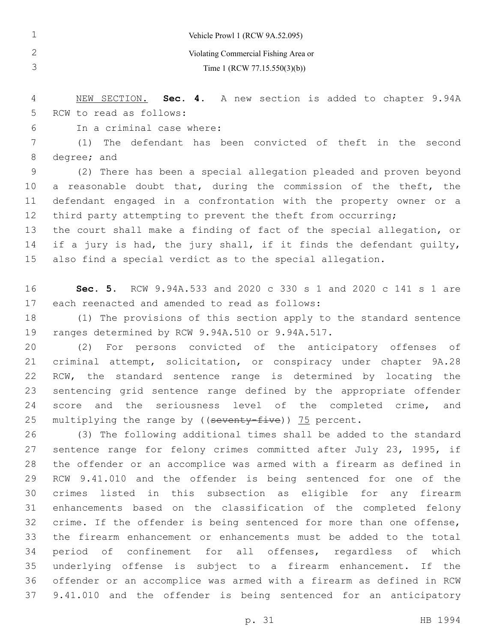|    |                                      |  |  | Vehicle Prowl 1 (RCW 9A.52.095)                 |  |  |  |  |
|----|--------------------------------------|--|--|-------------------------------------------------|--|--|--|--|
|    | Violating Commercial Fishing Area or |  |  |                                                 |  |  |  |  |
|    | Time 1 (RCW 77.15.550(3)(b))         |  |  |                                                 |  |  |  |  |
|    |                                      |  |  |                                                 |  |  |  |  |
| 4  | NEW SECTION.                         |  |  | Sec. 4. A new section is added to chapter 9.94A |  |  |  |  |
| 5. | RCW to read as follows:              |  |  |                                                 |  |  |  |  |

6 In a criminal case where:

 (1) The defendant has been convicted of theft in the second 8 degree; and

 (2) There has been a special allegation pleaded and proven beyond a reasonable doubt that, during the commission of the theft, the defendant engaged in a confrontation with the property owner or a 12 third party attempting to prevent the theft from occurring;

 the court shall make a finding of fact of the special allegation, or 14 if a jury is had, the jury shall, if it finds the defendant guilty, also find a special verdict as to the special allegation.

 **Sec. 5.** RCW 9.94A.533 and 2020 c 330 s 1 and 2020 c 141 s 1 are 17 each reenacted and amended to read as follows:

 (1) The provisions of this section apply to the standard sentence 19 ranges determined by RCW 9.94A.510 or 9.94A.517.

 (2) For persons convicted of the anticipatory offenses of criminal attempt, solicitation, or conspiracy under chapter 9A.28 RCW, the standard sentence range is determined by locating the sentencing grid sentence range defined by the appropriate offender 24 score and the seriousness level of the completed crime, and 25 multiplying the range by ((seventy-five)) 75 percent.

 (3) The following additional times shall be added to the standard 27 sentence range for felony crimes committed after July 23, 1995, if the offender or an accomplice was armed with a firearm as defined in RCW 9.41.010 and the offender is being sentenced for one of the crimes listed in this subsection as eligible for any firearm enhancements based on the classification of the completed felony 32 crime. If the offender is being sentenced for more than one offense, the firearm enhancement or enhancements must be added to the total period of confinement for all offenses, regardless of which underlying offense is subject to a firearm enhancement. If the offender or an accomplice was armed with a firearm as defined in RCW 9.41.010 and the offender is being sentenced for an anticipatory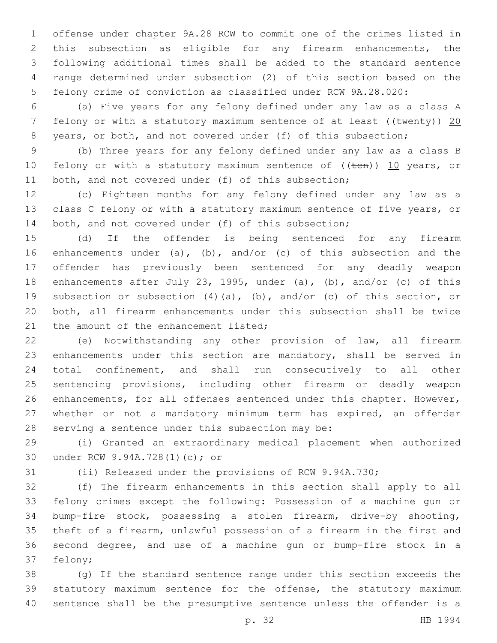offense under chapter 9A.28 RCW to commit one of the crimes listed in this subsection as eligible for any firearm enhancements, the following additional times shall be added to the standard sentence range determined under subsection (2) of this section based on the felony crime of conviction as classified under RCW 9A.28.020:

 (a) Five years for any felony defined under any law as a class A 7 felony or with a statutory maximum sentence of at least ((twenty)) 20 8 years, or both, and not covered under (f) of this subsection;

 (b) Three years for any felony defined under any law as a class B 10 felony or with a statutory maximum sentence of  $((\text{ten}))$  10 years, or both, and not covered under (f) of this subsection;

 (c) Eighteen months for any felony defined under any law as a class C felony or with a statutory maximum sentence of five years, or 14 both, and not covered under (f) of this subsection;

 (d) If the offender is being sentenced for any firearm enhancements under (a), (b), and/or (c) of this subsection and the offender has previously been sentenced for any deadly weapon enhancements after July 23, 1995, under (a), (b), and/or (c) of this subsection or subsection (4)(a), (b), and/or (c) of this section, or both, all firearm enhancements under this subsection shall be twice 21 the amount of the enhancement listed;

 (e) Notwithstanding any other provision of law, all firearm enhancements under this section are mandatory, shall be served in total confinement, and shall run consecutively to all other sentencing provisions, including other firearm or deadly weapon enhancements, for all offenses sentenced under this chapter. However, whether or not a mandatory minimum term has expired, an offender 28 serving a sentence under this subsection may be:

 (i) Granted an extraordinary medical placement when authorized 30 under RCW 9.94A.728(1)(c); or

(ii) Released under the provisions of RCW 9.94A.730;

 (f) The firearm enhancements in this section shall apply to all felony crimes except the following: Possession of a machine gun or bump-fire stock, possessing a stolen firearm, drive-by shooting, theft of a firearm, unlawful possession of a firearm in the first and second degree, and use of a machine gun or bump-fire stock in a 37 felony;

 (g) If the standard sentence range under this section exceeds the statutory maximum sentence for the offense, the statutory maximum sentence shall be the presumptive sentence unless the offender is a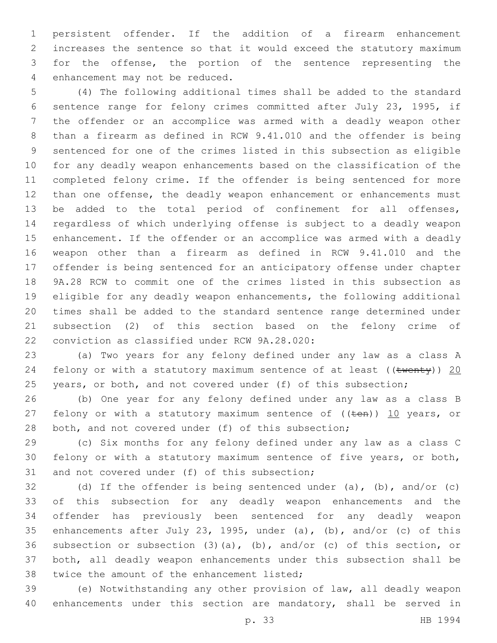persistent offender. If the addition of a firearm enhancement increases the sentence so that it would exceed the statutory maximum for the offense, the portion of the sentence representing the 4 enhancement may not be reduced.

 (4) The following additional times shall be added to the standard sentence range for felony crimes committed after July 23, 1995, if the offender or an accomplice was armed with a deadly weapon other than a firearm as defined in RCW 9.41.010 and the offender is being sentenced for one of the crimes listed in this subsection as eligible for any deadly weapon enhancements based on the classification of the completed felony crime. If the offender is being sentenced for more 12 than one offense, the deadly weapon enhancement or enhancements must be added to the total period of confinement for all offenses, regardless of which underlying offense is subject to a deadly weapon enhancement. If the offender or an accomplice was armed with a deadly weapon other than a firearm as defined in RCW 9.41.010 and the offender is being sentenced for an anticipatory offense under chapter 9A.28 RCW to commit one of the crimes listed in this subsection as eligible for any deadly weapon enhancements, the following additional times shall be added to the standard sentence range determined under subsection (2) of this section based on the felony crime of 22 conviction as classified under RCW 9A.28.020:

 (a) Two years for any felony defined under any law as a class A 24 felony or with a statutory maximum sentence of at least (( $t$ wenty)) 20 25 years, or both, and not covered under (f) of this subsection;

 (b) One year for any felony defined under any law as a class B 27 felony or with a statutory maximum sentence of  $((\text{ten}))$  10 years, or both, and not covered under (f) of this subsection;

 (c) Six months for any felony defined under any law as a class C felony or with a statutory maximum sentence of five years, or both, 31 and not covered under (f) of this subsection;

 (d) If the offender is being sentenced under (a), (b), and/or (c) of this subsection for any deadly weapon enhancements and the offender has previously been sentenced for any deadly weapon enhancements after July 23, 1995, under (a), (b), and/or (c) of this subsection or subsection (3)(a), (b), and/or (c) of this section, or both, all deadly weapon enhancements under this subsection shall be 38 twice the amount of the enhancement listed;

 (e) Notwithstanding any other provision of law, all deadly weapon enhancements under this section are mandatory, shall be served in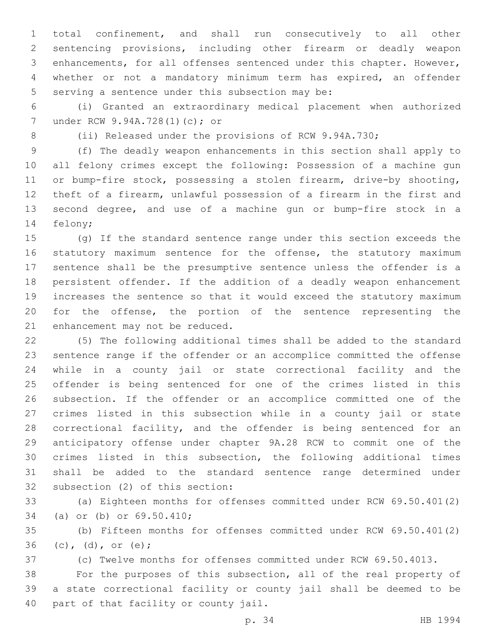total confinement, and shall run consecutively to all other sentencing provisions, including other firearm or deadly weapon enhancements, for all offenses sentenced under this chapter. However, whether or not a mandatory minimum term has expired, an offender 5 serving a sentence under this subsection may be:

 (i) Granted an extraordinary medical placement when authorized 7 under RCW 9.94A.728(1)(c); or

(ii) Released under the provisions of RCW 9.94A.730;

 (f) The deadly weapon enhancements in this section shall apply to all felony crimes except the following: Possession of a machine gun or bump-fire stock, possessing a stolen firearm, drive-by shooting, theft of a firearm, unlawful possession of a firearm in the first and second degree, and use of a machine gun or bump-fire stock in a 14 felony;

 (g) If the standard sentence range under this section exceeds the statutory maximum sentence for the offense, the statutory maximum sentence shall be the presumptive sentence unless the offender is a persistent offender. If the addition of a deadly weapon enhancement increases the sentence so that it would exceed the statutory maximum for the offense, the portion of the sentence representing the 21 enhancement may not be reduced.

 (5) The following additional times shall be added to the standard sentence range if the offender or an accomplice committed the offense while in a county jail or state correctional facility and the offender is being sentenced for one of the crimes listed in this subsection. If the offender or an accomplice committed one of the crimes listed in this subsection while in a county jail or state correctional facility, and the offender is being sentenced for an anticipatory offense under chapter 9A.28 RCW to commit one of the crimes listed in this subsection, the following additional times shall be added to the standard sentence range determined under 32 subsection (2) of this section:

 (a) Eighteen months for offenses committed under RCW 69.50.401(2) 34 (a) or (b) or 69.50.410;

 (b) Fifteen months for offenses committed under RCW 69.50.401(2) 36 (c), (d), or (e);

(c) Twelve months for offenses committed under RCW 69.50.4013.

 For the purposes of this subsection, all of the real property of a state correctional facility or county jail shall be deemed to be 40 part of that facility or county jail.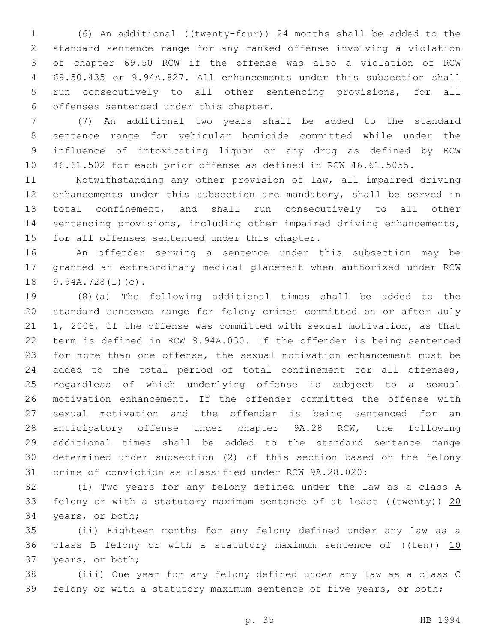(6) An additional ((twenty-four)) 24 months shall be added to the standard sentence range for any ranked offense involving a violation of chapter 69.50 RCW if the offense was also a violation of RCW 69.50.435 or 9.94A.827. All enhancements under this subsection shall run consecutively to all other sentencing provisions, for all 6 offenses sentenced under this chapter.

 (7) An additional two years shall be added to the standard sentence range for vehicular homicide committed while under the influence of intoxicating liquor or any drug as defined by RCW 46.61.502 for each prior offense as defined in RCW 46.61.5055.

 Notwithstanding any other provision of law, all impaired driving enhancements under this subsection are mandatory, shall be served in total confinement, and shall run consecutively to all other sentencing provisions, including other impaired driving enhancements, 15 for all offenses sentenced under this chapter.

 An offender serving a sentence under this subsection may be granted an extraordinary medical placement when authorized under RCW 18 9.94A.728(1)(c).

 (8)(a) The following additional times shall be added to the standard sentence range for felony crimes committed on or after July 1, 2006, if the offense was committed with sexual motivation, as that term is defined in RCW 9.94A.030. If the offender is being sentenced for more than one offense, the sexual motivation enhancement must be added to the total period of total confinement for all offenses, regardless of which underlying offense is subject to a sexual motivation enhancement. If the offender committed the offense with sexual motivation and the offender is being sentenced for an anticipatory offense under chapter 9A.28 RCW, the following additional times shall be added to the standard sentence range determined under subsection (2) of this section based on the felony crime of conviction as classified under RCW 9A.28.020:

 (i) Two years for any felony defined under the law as a class A 33 felony or with a statutory maximum sentence of at least ( $(\text{twenty})$ ) 20 34 years, or both;

 (ii) Eighteen months for any felony defined under any law as a 36 class B felony or with a statutory maximum sentence of  $((\text{ten}))$  10 37 years, or both;

 (iii) One year for any felony defined under any law as a class C felony or with a statutory maximum sentence of five years, or both;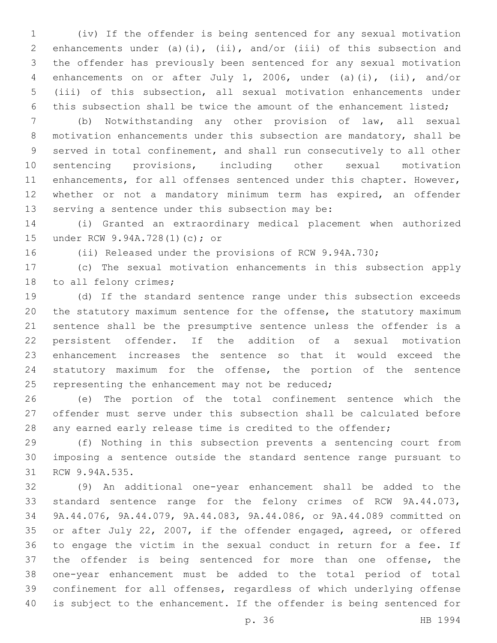(iv) If the offender is being sentenced for any sexual motivation enhancements under (a)(i), (ii), and/or (iii) of this subsection and the offender has previously been sentenced for any sexual motivation enhancements on or after July 1, 2006, under (a)(i), (ii), and/or (iii) of this subsection, all sexual motivation enhancements under this subsection shall be twice the amount of the enhancement listed;

 (b) Notwithstanding any other provision of law, all sexual motivation enhancements under this subsection are mandatory, shall be served in total confinement, and shall run consecutively to all other sentencing provisions, including other sexual motivation 11 enhancements, for all offenses sentenced under this chapter. However, whether or not a mandatory minimum term has expired, an offender 13 serving a sentence under this subsection may be:

 (i) Granted an extraordinary medical placement when authorized 15 under RCW 9.94A.728(1)(c); or

(ii) Released under the provisions of RCW 9.94A.730;

 (c) The sexual motivation enhancements in this subsection apply 18 to all felony crimes;

 (d) If the standard sentence range under this subsection exceeds the statutory maximum sentence for the offense, the statutory maximum sentence shall be the presumptive sentence unless the offender is a persistent offender. If the addition of a sexual motivation enhancement increases the sentence so that it would exceed the statutory maximum for the offense, the portion of the sentence 25 representing the enhancement may not be reduced;

 (e) The portion of the total confinement sentence which the offender must serve under this subsection shall be calculated before 28 any earned early release time is credited to the offender;

 (f) Nothing in this subsection prevents a sentencing court from imposing a sentence outside the standard sentence range pursuant to 31 RCW 9.94A.535.

 (9) An additional one-year enhancement shall be added to the standard sentence range for the felony crimes of RCW 9A.44.073, 9A.44.076, 9A.44.079, 9A.44.083, 9A.44.086, or 9A.44.089 committed on or after July 22, 2007, if the offender engaged, agreed, or offered to engage the victim in the sexual conduct in return for a fee. If the offender is being sentenced for more than one offense, the one-year enhancement must be added to the total period of total confinement for all offenses, regardless of which underlying offense is subject to the enhancement. If the offender is being sentenced for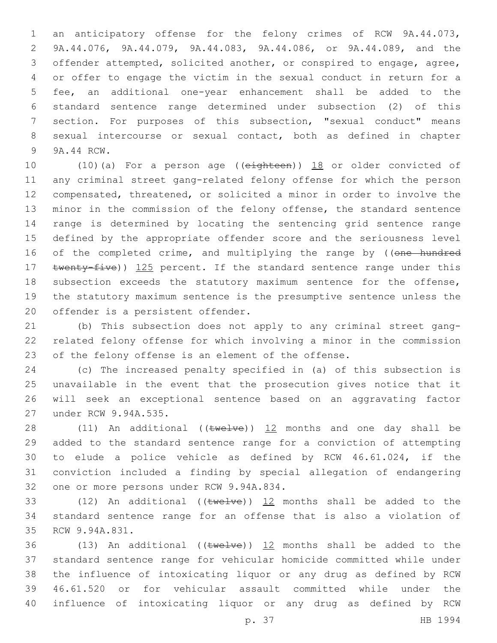an anticipatory offense for the felony crimes of RCW 9A.44.073, 9A.44.076, 9A.44.079, 9A.44.083, 9A.44.086, or 9A.44.089, and the offender attempted, solicited another, or conspired to engage, agree, or offer to engage the victim in the sexual conduct in return for a fee, an additional one-year enhancement shall be added to the standard sentence range determined under subsection (2) of this section. For purposes of this subsection, "sexual conduct" means sexual intercourse or sexual contact, both as defined in chapter 9 9A.44 RCW.

10 (10)(a) For a person age ((eighteen)) 18 or older convicted of any criminal street gang-related felony offense for which the person compensated, threatened, or solicited a minor in order to involve the minor in the commission of the felony offense, the standard sentence range is determined by locating the sentencing grid sentence range defined by the appropriate offender score and the seriousness level 16 of the completed crime, and multiplying the range by ((one hundred 17 twenty-five)) 125 percent. If the standard sentence range under this subsection exceeds the statutory maximum sentence for the offense, the statutory maximum sentence is the presumptive sentence unless the 20 offender is a persistent offender.

 (b) This subsection does not apply to any criminal street gang- related felony offense for which involving a minor in the commission of the felony offense is an element of the offense.

 (c) The increased penalty specified in (a) of this subsection is unavailable in the event that the prosecution gives notice that it will seek an exceptional sentence based on an aggravating factor 27 under RCW 9.94A.535.

28 (11) An additional ( $(\text{true1ve})$ ) 12 months and one day shall be added to the standard sentence range for a conviction of attempting to elude a police vehicle as defined by RCW 46.61.024, if the conviction included a finding by special allegation of endangering 32 one or more persons under RCW 9.94A.834.

33 (12) An additional (( $tweIve$ ))  $12$  months shall be added to the standard sentence range for an offense that is also a violation of 35 RCW 9.94A.831.

36 (13) An additional (( $tweIve$ )) 12 months shall be added to the standard sentence range for vehicular homicide committed while under the influence of intoxicating liquor or any drug as defined by RCW 46.61.520 or for vehicular assault committed while under the influence of intoxicating liquor or any drug as defined by RCW